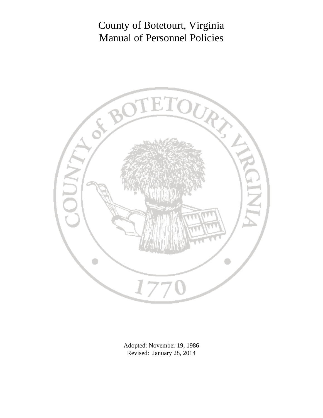

Adopted: November 19, 1986 Revised: January 28, 2014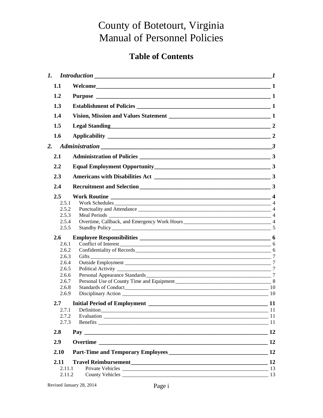# **Table of Contents**

|                |                               | $\boldsymbol{l}$ |
|----------------|-------------------------------|------------------|
| 1.1            |                               |                  |
| 1.2            |                               |                  |
| 1.3            |                               |                  |
| 1.4            |                               |                  |
| 1.5            | Legal Standing<br>2           |                  |
| 1.6            |                               |                  |
| 2.             | Administration 3              |                  |
| 2.1            |                               |                  |
| 2.2            |                               |                  |
| 2.3            |                               |                  |
| 2.4            |                               |                  |
| $2.5^{\circ}$  |                               |                  |
| 2.5.1          |                               |                  |
| 2.5.2          | Punctuality and Attendance 14 |                  |
| 2.5.3          |                               |                  |
| 2.5.4          |                               |                  |
| 2.5.5          |                               |                  |
| 2.6            |                               |                  |
| 2.6.1          |                               |                  |
| 2.6.2          |                               |                  |
| 2.6.3          | Gifts                         | $7\phantom{.0}$  |
| 2.6.4          |                               | $7\phantom{.0}$  |
| 2.6.5          |                               |                  |
| 2.6.6          |                               |                  |
| 2.6.7          |                               |                  |
| 2.6.8<br>2.6.9 |                               |                  |
| $2.7^{\circ}$  |                               |                  |
| 2.7.1          | Definition 11                 |                  |
| 2.7.2          |                               |                  |
| 2.7.3          |                               |                  |
| 2.8            |                               | 12               |
| 2.9            |                               |                  |
| 2.10           |                               |                  |
| 2.11           |                               |                  |
| 2.11.1         |                               |                  |
| 2.11.2         |                               |                  |
|                |                               |                  |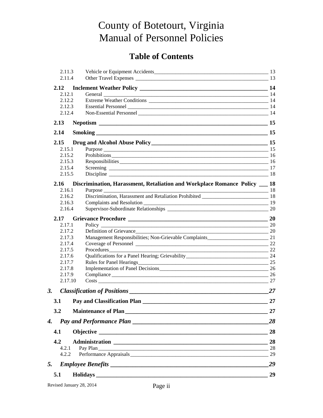## **Table of Contents**

|       | 2.11.3<br>2.11.4 |                                                                                                                |    |
|-------|------------------|----------------------------------------------------------------------------------------------------------------|----|
| 2.12  |                  |                                                                                                                |    |
|       | 2.12.1           |                                                                                                                |    |
|       | 2.12.2           |                                                                                                                |    |
|       | 2.12.3           |                                                                                                                |    |
|       | 2.12.4           |                                                                                                                |    |
| 2.13  |                  |                                                                                                                |    |
| 2.14  |                  | Smoking                                                                                                        |    |
| 2.15  |                  |                                                                                                                |    |
|       | 2.15.1           |                                                                                                                |    |
|       | 2.15.2           | Prohibitions 16                                                                                                |    |
|       | 2.15.3           | Responsibilities 16                                                                                            |    |
|       | 2.15.4           |                                                                                                                |    |
|       | 2.15.5           |                                                                                                                |    |
| 2.16  |                  | Discrimination, Harassment, Retaliation and Workplace Romance Policy __ 18                                     |    |
|       | 2.16.1           | Purpose                                                                                                        |    |
|       | 2.16.2           | Discrimination, Harassment and Retaliation Prohibited ___________________________ 18                           |    |
|       | 2.16.3           | Complaints and Resolution 2008 and 2008 and 2008 and 2008 and 2008 and 2008 and 2008 and 2008 and 2008 and 200 |    |
|       | 2.16.4           |                                                                                                                |    |
| 2.17  |                  |                                                                                                                |    |
|       | 2.17.1           | Policy 20                                                                                                      |    |
|       | 2.17.2           |                                                                                                                |    |
|       | 2.17.3           |                                                                                                                |    |
|       | 2.17.4           |                                                                                                                | 22 |
|       | 2.17.5<br>2.17.6 | Procedures                                                                                                     | 22 |
|       | 2.17.7           | Rules for Panel Hearings 25                                                                                    |    |
|       | 2.17.8           | Implementation of Panel Decisions 26                                                                           |    |
|       | 2.17.9           |                                                                                                                | 26 |
|       | 2.17.10          |                                                                                                                | 27 |
| 3.    |                  |                                                                                                                | 27 |
| 3.1   |                  | Pay and Classification Plan                                                                                    | 27 |
| 3.2   |                  |                                                                                                                | 27 |
| 4.    |                  |                                                                                                                | 28 |
| 4.1   |                  |                                                                                                                | 28 |
| 4.2   |                  |                                                                                                                | 28 |
| 4.2.1 |                  | Pay Plan                                                                                                       | 28 |
|       | 4.2.2            |                                                                                                                | 29 |
| 5.    |                  |                                                                                                                | 29 |
| 5.1   |                  |                                                                                                                | 29 |
|       |                  |                                                                                                                |    |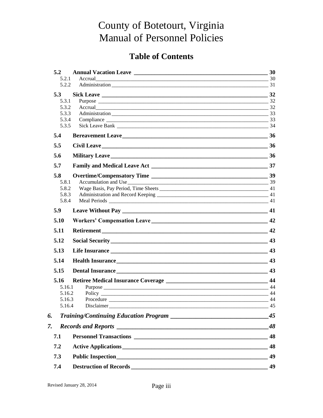# **Table of Contents**

| 5.2            |                                                                                                                                                                         |                  |
|----------------|-------------------------------------------------------------------------------------------------------------------------------------------------------------------------|------------------|
| 5.2.1          |                                                                                                                                                                         |                  |
| 5.2.2          |                                                                                                                                                                         |                  |
| 5.3            |                                                                                                                                                                         |                  |
| 5.3.1          |                                                                                                                                                                         |                  |
| 5.3.2<br>5.3.3 | Accrual 32                                                                                                                                                              |                  |
| 5.3.4          |                                                                                                                                                                         |                  |
| 5.3.5          |                                                                                                                                                                         |                  |
| 5.4            |                                                                                                                                                                         |                  |
| 5.5            |                                                                                                                                                                         |                  |
| 5.6            |                                                                                                                                                                         |                  |
| 5.7            |                                                                                                                                                                         |                  |
| 5.8            |                                                                                                                                                                         |                  |
| 5.8.1          |                                                                                                                                                                         |                  |
| 5.8.2<br>5.8.3 |                                                                                                                                                                         |                  |
| 5.8.4          |                                                                                                                                                                         | 41               |
| 5.9            |                                                                                                                                                                         |                  |
| 5.10           |                                                                                                                                                                         |                  |
| 5.11           |                                                                                                                                                                         | 42               |
| 5.12           |                                                                                                                                                                         |                  |
| 5.13           |                                                                                                                                                                         | 43               |
| 5.14           |                                                                                                                                                                         | 43               |
| 5.15           |                                                                                                                                                                         | 43               |
| 5.16           |                                                                                                                                                                         |                  |
|                | 5.16.1                                                                                                                                                                  | $\frac{1}{2}$ 44 |
|                | 5.16.2                                                                                                                                                                  |                  |
|                | 5.16.3<br>Procedure 44<br>5.16.4<br>Disclaimer<br><u> 1990 - Jan James James Barnett, amerikan bernama dan bernama dalam pengaran bernama dalam pengaran bernama da</u> | 45               |
| 6.             | <b>Training/Continuing Education Program</b>                                                                                                                            | 45               |
| 7.             |                                                                                                                                                                         | 48               |
| 7.1            |                                                                                                                                                                         | 48               |
| 7.2            |                                                                                                                                                                         | 48               |
| 7.3            |                                                                                                                                                                         | 49               |
| 7.4            |                                                                                                                                                                         | 49               |
|                |                                                                                                                                                                         |                  |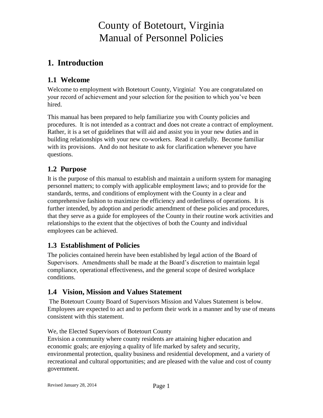## <span id="page-4-0"></span>**1. Introduction**

## <span id="page-4-1"></span>**1.1 Welcome**

Welcome to employment with Botetourt County, Virginia! You are congratulated on your record of achievement and your selection for the position to which you've been hired.

This manual has been prepared to help familiarize you with County policies and procedures. It is not intended as a contract and does not create a contract of employment. Rather, it is a set of guidelines that will aid and assist you in your new duties and in building relationships with your new co-workers. Read it carefully. Become familiar with its provisions. And do not hesitate to ask for clarification whenever you have questions.

## <span id="page-4-2"></span>**1.2 Purpose**

It is the purpose of this manual to establish and maintain a uniform system for managing personnel matters; to comply with applicable employment laws; and to provide for the standards, terms, and conditions of employment with the County in a clear and comprehensive fashion to maximize the efficiency and orderliness of operations. It is further intended, by adoption and periodic amendment of these policies and procedures, that they serve as a guide for employees of the County in their routine work activities and relationships to the extent that the objectives of both the County and individual employees can be achieved.

## <span id="page-4-3"></span>**1.3 Establishment of Policies**

The policies contained herein have been established by legal action of the Board of Supervisors. Amendments shall be made at the Board's discretion to maintain legal compliance, operational effectiveness, and the general scope of desired workplace conditions.

## <span id="page-4-4"></span>**1.4 Vision, Mission and Values Statement**

The Botetourt County Board of Supervisors Mission and Values Statement is below. Employees are expected to act and to perform their work in a manner and by use of means consistent with this statement.

We, the Elected Supervisors of Botetourt County Envision a community where county residents are attaining higher education and economic goals; are enjoying a quality of life marked by safety and security, environmental protection, quality business and residential development, and a variety of recreational and cultural opportunities; and are pleased with the value and cost of county government.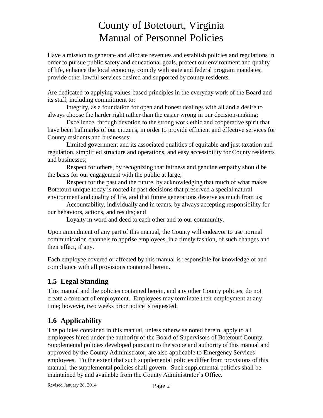Have a mission to generate and allocate revenues and establish policies and regulations in order to pursue public safety and educational goals, protect our environment and quality of life, enhance the local economy, comply with state and federal program mandates, provide other lawful services desired and supported by county residents.

Are dedicated to applying values-based principles in the everyday work of the Board and its staff, including commitment to:

Integrity, as a foundation for open and honest dealings with all and a desire to always choose the harder right rather than the easier wrong in our decision-making;

Excellence, through devotion to the strong work ethic and cooperative spirit that have been hallmarks of our citizens, in order to provide efficient and effective services for County residents and businesses;

Limited government and its associated qualities of equitable and just taxation and regulation, simplified structure and operations, and easy accessibility for County residents and businesses;

Respect for others, by recognizing that fairness and genuine empathy should be the basis for our engagement with the public at large;

Respect for the past and the future, by acknowledging that much of what makes Botetourt unique today is rooted in past decisions that preserved a special natural environment and quality of life, and that future generations deserve as much from us;

Accountability, individually and in teams, by always accepting responsibility for our behaviors, actions, and results; and

Loyalty in word and deed to each other and to our community.

Upon amendment of any part of this manual, the County will endeavor to use normal communication channels to apprise employees, in a timely fashion, of such changes and their effect, if any.

Each employee covered or affected by this manual is responsible for knowledge of and compliance with all provisions contained herein.

## <span id="page-5-0"></span>**1.5 Legal Standing**

This manual and the policies contained herein, and any other County policies, do not create a contract of employment. Employees may terminate their employment at any time; however, two weeks prior notice is requested.

## <span id="page-5-1"></span>**1.6 Applicability**

The policies contained in this manual, unless otherwise noted herein, apply to all employees hired under the authority of the Board of Supervisors of Botetourt County. Supplemental policies developed pursuant to the scope and authority of this manual and approved by the County Administrator, are also applicable to Emergency Services employees. To the extent that such supplemental policies differ from provisions of this manual, the supplemental policies shall govern. Such supplemental policies shall be maintained by and available from the County Administrator's Office.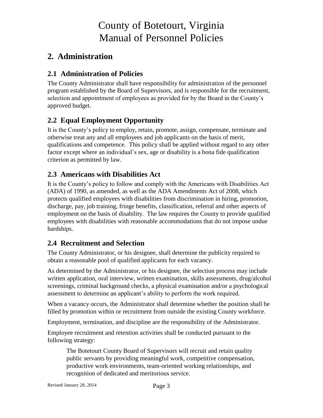## <span id="page-6-0"></span>**2. Administration**

## <span id="page-6-1"></span>**2.1 Administration of Policies**

The County Administrator shall have responsibility for administration of the personnel program established by the Board of Supervisors, and is responsible for the recruitment, selection and appointment of employees as provided for by the Board in the County's approved budget.

## <span id="page-6-2"></span>**2.2 Equal Employment Opportunity**

It is the County's policy to employ, retain, promote, assign, compensate, terminate and otherwise treat any and all employees and job applicants on the basis of merit, qualifications and competence. This policy shall be applied without regard to any other factor except where an individual's sex, age or disability is a bona fide qualification criterion as permitted by law.

## <span id="page-6-3"></span>**2.3 Americans with Disabilities Act**

It is the County's policy to follow and comply with the Americans with Disabilities Act (ADA) of 1990, as amended, as well as the ADA Amendments Act of 2008, which protects qualified employees with disabilities from discrimination in hiring, promotion, discharge, pay, job training, fringe benefits, classification, referral and other aspects of employment on the basis of disability. The law requires the County to provide qualified employees with disabilities with reasonable accommodations that do not impose undue hardships.

## <span id="page-6-4"></span>**2.4 Recruitment and Selection**

The County Administrator, or his designee, shall determine the publicity required to obtain a reasonable pool of qualified applicants for each vacancy.

As determined by the Administrator, or his designee, the selection process may include written application, oral interview, written examination, skills assessments, drug/alcohol screenings, criminal background checks, a physical examination and/or a psychological assessment to determine an applicant's ability to perform the work required.

When a vacancy occurs, the Administrator shall determine whether the position shall be filled by promotion within or recruitment from outside the existing County workforce.

Employment, termination, and discipline are the responsibility of the Administrator.

Employee recruitment and retention activities shall be conducted pursuant to the following strategy:

The Botetourt County Board of Supervisors will recruit and retain quality public servants by providing meaningful work, competitive compensation, productive work environments, team-oriented working relationships, and recognition of dedicated and meritorious service.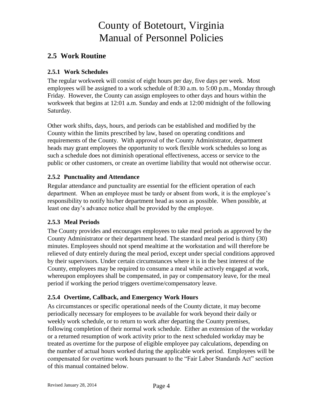## <span id="page-7-0"></span>**2.5 Work Routine**

#### <span id="page-7-1"></span>**2.5.1 Work Schedules**

The regular workweek will consist of eight hours per day, five days per week. Most employees will be assigned to a work schedule of 8:30 a.m. to 5:00 p.m., Monday through Friday. However, the County can assign employees to other days and hours within the workweek that begins at 12:01 a.m. Sunday and ends at 12:00 midnight of the following Saturday.

Other work shifts, days, hours, and periods can be established and modified by the County within the limits prescribed by law, based on operating conditions and requirements of the County. With approval of the County Administrator, department heads may grant employees the opportunity to work flexible work schedules so long as such a schedule does not diminish operational effectiveness, access or service to the public or other customers, or create an overtime liability that would not otherwise occur.

#### <span id="page-7-2"></span>**2.5.2 Punctuality and Attendance**

Regular attendance and punctuality are essential for the efficient operation of each department. When an employee must be tardy or absent from work, it is the employee's responsibility to notify his/her department head as soon as possible. When possible, at least one day's advance notice shall be provided by the employee.

#### <span id="page-7-3"></span>**2.5.3 Meal Periods**

The County provides and encourages employees to take meal periods as approved by the County Administrator or their department head. The standard meal period is thirty (30) minutes. Employees should not spend mealtime at the workstation and will therefore be relieved of duty entirely during the meal period, except under special conditions approved by their supervisors. Under certain circumstances where it is in the best interest of the County, employees may be required to consume a meal while actively engaged at work, whereupon employees shall be compensated, in pay or compensatory leave, for the meal period if working the period triggers overtime/compensatory leave.

### <span id="page-7-4"></span>**2.5.4 Overtime, Callback, and Emergency Work Hours**

As circumstances or specific operational needs of the County dictate, it may become periodically necessary for employees to be available for work beyond their daily or weekly work schedule, or to return to work after departing the County premises, following completion of their normal work schedule. Either an extension of the workday or a returned resumption of work activity prior to the next scheduled workday may be treated as overtime for the purpose of eligible employee pay calculations, depending on the number of actual hours worked during the applicable work period. Employees will be compensated for overtime work hours pursuant to the "Fair Labor Standards Act" section of this manual contained below.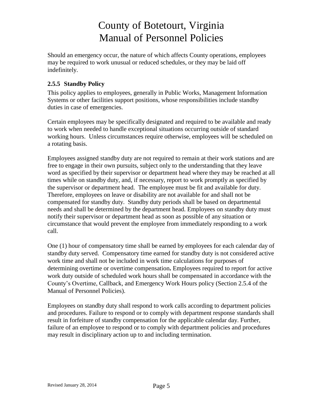Should an emergency occur, the nature of which affects County operations, employees may be required to work unusual or reduced schedules, or they may be laid off indefinitely.

#### <span id="page-8-0"></span>**2.5.5 Standby Policy**

This policy applies to employees, generally in Public Works, Management Information Systems or other facilities support positions, whose responsibilities include standby duties in case of emergencies.

Certain employees may be specifically designated and required to be available and ready to work when needed to handle exceptional situations occurring outside of standard working hours. Unless circumstances require otherwise, employees will be scheduled on a rotating basis.

Employees assigned standby duty are not required to remain at their work stations and are free to engage in their own pursuits, subject only to the understanding that they leave word as specified by their supervisor or department head where they may be reached at all times while on standby duty, and, if necessary, report to work promptly as specified by the supervisor or department head. The employee must be fit and available for duty. Therefore, employees on leave or disability are not available for and shall not be compensated for standby duty. Standby duty periods shall be based on departmental needs and shall be determined by the department head. Employees on standby duty must notify their supervisor or department head as soon as possible of any situation or circumstance that would prevent the employee from immediately responding to a work call.

One (1) hour of compensatory time shall be earned by employees for each calendar day of standby duty served.Compensatory time earned for standby duty is not considered active work time and shall not be included in work time calculations for purposes of determining overtime or overtime compensation**.** Employees required to report for active work duty outside of scheduled work hours shall be compensated in accordance with the County's Overtime, Callback, and Emergency Work Hours policy (Section 2.5.4 of the Manual of Personnel Policies).

Employees on standby duty shall respond to work calls according to department policies and procedures. Failure to respond or to comply with department response standards shall result in forfeiture of standby compensation for the applicable calendar day. Further, failure of an employee to respond or to comply with department policies and procedures may result in disciplinary action up to and including termination.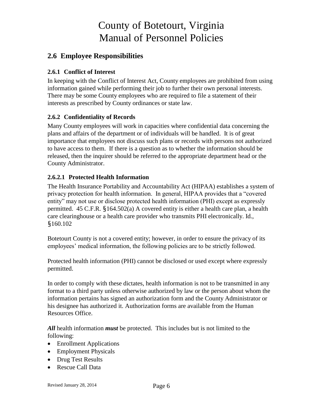### <span id="page-9-0"></span>**2.6 Employee Responsibilities**

### <span id="page-9-1"></span>**2.6.1 Conflict of Interest**

In keeping with the Conflict of Interest Act, County employees are prohibited from using information gained while performing their job to further their own personal interests. There may be some County employees who are required to file a statement of their interests as prescribed by County ordinances or state law.

### <span id="page-9-2"></span>**2.6.2 Confidentiality of Records**

Many County employees will work in capacities where confidential data concerning the plans and affairs of the department or of individuals will be handled. It is of great importance that employees not discuss such plans or records with persons not authorized to have access to them. If there is a question as to whether the information should be released, then the inquirer should be referred to the appropriate department head or the County Administrator.

### **2.6.2.1 Protected Health Information**

The Health Insurance Portability and Accountability Act (HIPAA) establishes a system of privacy protection for health information. In general, HIPAA provides that a "covered entity" may not use or disclose protected health information (PHI) except as expressly permitted. 45 C.F.R. §164.502(a) A covered entity is either a health care plan, a health care clearinghouse or a health care provider who transmits PHI electronically. Id., §160.102

Botetourt County is not a covered entity; however, in order to ensure the privacy of its employees' medical information, the following policies are to be strictly followed.

Protected health information (PHI) cannot be disclosed or used except where expressly permitted.

In order to comply with these dictates, health information is not to be transmitted in any format to a third party unless otherwise authorized by law or the person about whom the information pertains has signed an authorization form and the County Administrator or his designee has authorized it. Authorization forms are available from the Human Resources Office.

*All* health information *must* be protected. This includes but is not limited to the following:

- Enrollment Applications
- Employment Physicals
- Drug Test Results
- Rescue Call Data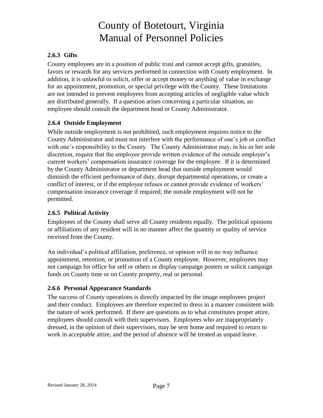### <span id="page-10-0"></span>**2.6.3 Gifts**

County employees are in a position of public trust and cannot accept gifts, gratuities, favors or rewards for any services performed in connection with County employment. In addition, it is unlawful to solicit, offer or accept money or anything of value in exchange for an appointment, promotion, or special privilege with the County. These limitations are not intended to prevent employees from accepting articles of negligible value which are distributed generally. If a question arises concerning a particular situation, an employee should consult the department head or County Administrator.

### <span id="page-10-1"></span>**2.6.4 Outside Employment**

While outside employment is not prohibited, such employment requires notice to the County Administrator and must not interfere with the performance of one's job or conflict with one's responsibility to the County. The County Administrator may, in his or her sole discretion, require that the employee provide written evidence of the outside employer's current workers' compensation insurance coverage for the employee. If it is determined by the County Administrator or department head that outside employment would diminish the efficient performance of duty, disrupt departmental operations, or create a conflict of interest, or if the employee refuses or cannot provide evidence of workers' compensation insurance coverage if required, the outside employment will not be permitted.

### <span id="page-10-2"></span>**2.6.5 Political Activity**

Employees of the County shall serve all County residents equally. The political opinions or affiliations of any resident will in no manner affect the quantity or quality of service received from the County.

An individual's political affiliation, preference, or opinion will in no way influence appointment, retention, or promotion of a County employee. However, employees may not campaign for office for self or others or display campaign posters or solicit campaign funds on County time or on County property, real or personal.

### <span id="page-10-3"></span>**2.6.6 Personal Appearance Standards**

The success of County operations is directly impacted by the image employees project and their conduct. Employees are therefore expected to dress in a manner consistent with the nature of work performed. If there are questions as to what constitutes proper attire, employees should consult with their supervisors. Employees who are inappropriately dressed, in the opinion of their supervisors, may be sent home and required to return to work in acceptable attire, and the period of absence will be treated as unpaid leave.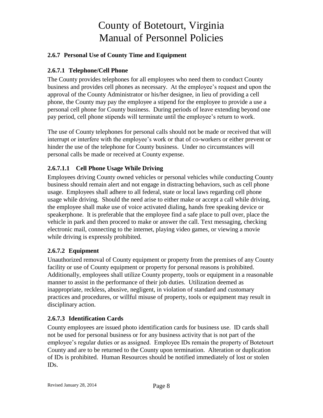### <span id="page-11-0"></span>**2.6.7 Personal Use of County Time and Equipment**

### **2.6.7.1 Telephone/Cell Phone**

The County provides telephones for all employees who need them to conduct County business and provides cell phones as necessary. At the employee's request and upon the approval of the County Administrator or his/her designee, in lieu of providing a cell phone, the County may pay the employee a stipend for the employee to provide a use a personal cell phone for County business. During periods of leave extending beyond one pay period, cell phone stipends will terminate until the employee's return to work.

The use of County telephones for personal calls should not be made or received that will interrupt or interfere with the employee's work or that of co-workers or either prevent or hinder the use of the telephone for County business. Under no circumstances will personal calls be made or received at County expense.

#### **2.6.7.1.1 Cell Phone Usage While Driving**

Employees driving County owned vehicles or personal vehicles while conducting County business should remain alert and not engage in distracting behaviors, such as cell phone usage. Employees shall adhere to all federal, state or local laws regarding cell phone usage while driving. Should the need arise to either make or accept a call while driving, the employee shall make use of voice activated dialing, hands free speaking device or speakerphone. It is preferable that the employee find a safe place to pull over, place the vehicle in park and then proceed to make or answer the call. Text messaging, checking electronic mail, connecting to the internet, playing video games, or viewing a movie while driving is expressly prohibited.

#### **2.6.7.2 Equipment**

Unauthorized removal of County equipment or property from the premises of any County facility or use of County equipment or property for personal reasons is prohibited. Additionally, employees shall utilize County property, tools or equipment in a reasonable manner to assist in the performance of their job duties. Utilization deemed as inappropriate, reckless, abusive, negligent, in violation of standard and customary practices and procedures, or willful misuse of property, tools or equipment may result in disciplinary action.

#### **2.6.7.3 Identification Cards**

County employees are issued photo identification cards for business use. ID cards shall not be used for personal business or for any business activity that is not part of the employee's regular duties or as assigned. Employee IDs remain the property of Botetourt County and are to be returned to the County upon termination. Alteration or duplication of IDs is prohibited. Human Resources should be notified immediately of lost or stolen IDs.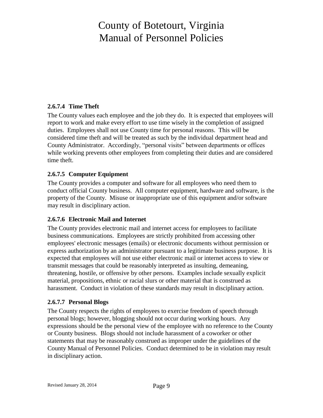### **2.6.7.4 Time Theft**

The County values each employee and the job they do. It is expected that employees will report to work and make every effort to use time wisely in the completion of assigned duties. Employees shall not use County time for personal reasons. This will be considered time theft and will be treated as such by the individual department head and County Administrator. Accordingly, "personal visits" between departments or offices while working prevents other employees from completing their duties and are considered time theft.

### **2.6.7.5 Computer Equipment**

The County provides a computer and software for all employees who need them to conduct official County business. All computer equipment, hardware and software, is the property of the County. Misuse or inappropriate use of this equipment and/or software may result in disciplinary action.

### **2.6.7.6 Electronic Mail and Internet**

The County provides electronic mail and internet access for employees to facilitate business communications. Employees are strictly prohibited from accessing other employees' electronic messages (emails) or electronic documents without permission or express authorization by an administrator pursuant to a legitimate business purpose. It is expected that employees will not use either electronic mail or internet access to view or transmit messages that could be reasonably interpreted as insulting, demeaning, threatening, hostile, or offensive by other persons. Examples include sexually explicit material, propositions, ethnic or racial slurs or other material that is construed as harassment. Conduct in violation of these standards may result in disciplinary action.

### **2.6.7.7 Personal Blogs**

The County respects the rights of employees to exercise freedom of speech through personal blogs; however, blogging should not occur during working hours. Any expressions should be the personal view of the employee with no reference to the County or County business. Blogs should not include harassment of a coworker or other statements that may be reasonably construed as improper under the guidelines of the County Manual of Personnel Policies. Conduct determined to be in violation may result in disciplinary action.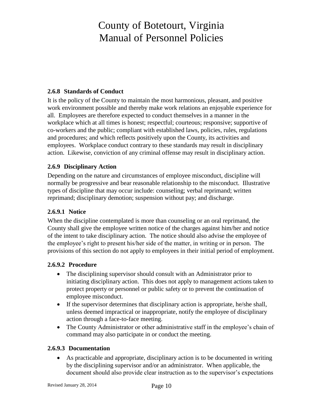#### <span id="page-13-0"></span>**2.6.8 Standards of Conduct**

It is the policy of the County to maintain the most harmonious, pleasant, and positive work environment possible and thereby make work relations an enjoyable experience for all. Employees are therefore expected to conduct themselves in a manner in the workplace which at all times is honest; respectful; courteous; responsive; supportive of co-workers and the public; compliant with established laws, policies, rules, regulations and procedures; and which reflects positively upon the County, its activities and employees. Workplace conduct contrary to these standards may result in disciplinary action. Likewise, conviction of any criminal offense may result in disciplinary action.

#### <span id="page-13-1"></span>**2.6.9 Disciplinary Action**

Depending on the nature and circumstances of employee misconduct, discipline will normally be progressive and bear reasonable relationship to the misconduct. Illustrative types of discipline that may occur include: counseling; verbal reprimand; written reprimand; disciplinary demotion; suspension without pay; and discharge.

#### **2.6.9.1 Notice**

When the discipline contemplated is more than counseling or an oral reprimand, the County shall give the employee written notice of the charges against him/her and notice of the intent to take disciplinary action. The notice should also advise the employee of the employee's right to present his/her side of the matter, in writing or in person. The provisions of this section do not apply to employees in their initial period of employment.

#### **2.6.9.2 Procedure**

- The disciplining supervisor should consult with an Administrator prior to initiating disciplinary action. This does not apply to management actions taken to protect property or personnel or public safety or to prevent the continuation of employee misconduct.
- If the supervisor determines that disciplinary action is appropriate, he/she shall, unless deemed impractical or inappropriate, notify the employee of disciplinary action through a face-to-face meeting.
- The County Administrator or other administrative staff in the employee's chain of command may also participate in or conduct the meeting.

#### **2.6.9.3 Documentation**

 As practicable and appropriate, disciplinary action is to be documented in writing by the disciplining supervisor and/or an administrator. When applicable, the document should also provide clear instruction as to the supervisor's expectations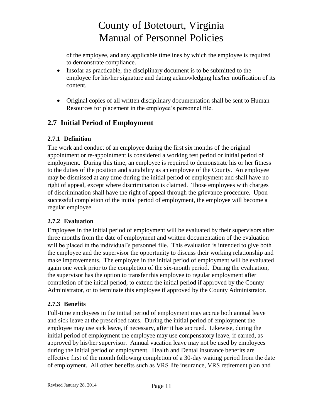of the employee, and any applicable timelines by which the employee is required to demonstrate compliance.

- Insofar as practicable, the disciplinary document is to be submitted to the employee for his/her signature and dating acknowledging his/her notification of its content.
- Original copies of all written disciplinary documentation shall be sent to Human Resources for placement in the employee's personnel file.

## <span id="page-14-0"></span>**2.7 Initial Period of Employment**

#### <span id="page-14-1"></span>**2.7.1 Definition**

The work and conduct of an employee during the first six months of the original appointment or re-appointment is considered a working test period or initial period of employment. During this time, an employee is required to demonstrate his or her fitness to the duties of the position and suitability as an employee of the County. An employee may be dismissed at any time during the initial period of employment and shall have no right of appeal, except where discrimination is claimed. Those employees with charges of discrimination shall have the right of appeal through the grievance procedure. Upon successful completion of the initial period of employment, the employee will become a regular employee.

### <span id="page-14-2"></span>**2.7.2 Evaluation**

Employees in the initial period of employment will be evaluated by their supervisors after three months from the date of employment and written documentation of the evaluation will be placed in the individual's personnel file. This evaluation is intended to give both the employee and the supervisor the opportunity to discuss their working relationship and make improvements. The employee in the initial period of employment will be evaluated again one week prior to the completion of the six-month period. During the evaluation, the supervisor has the option to transfer this employee to regular employment after completion of the initial period, to extend the initial period if approved by the County Administrator, or to terminate this employee if approved by the County Administrator.

#### <span id="page-14-3"></span>**2.7.3 Benefits**

Full-time employees in the initial period of employment may accrue both annual leave and sick leave at the prescribed rates. During the initial period of employment the employee may use sick leave, if necessary, after it has accrued. Likewise, during the initial period of employment the employee may use compensatory leave, if earned, as approved by his/her supervisor. Annual vacation leave may not be used by employees during the initial period of employment. Health and Dental insurance benefits are effective first of the month following completion of a 30-day waiting period from the date of employment. All other benefits such as VRS life insurance, VRS retirement plan and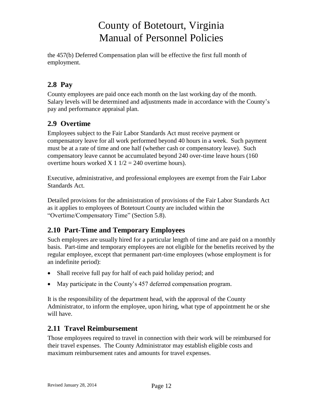the 457(b) Deferred Compensation plan will be effective the first full month of employment.

## <span id="page-15-0"></span>**2.8 Pay**

County employees are paid once each month on the last working day of the month. Salary levels will be determined and adjustments made in accordance with the County's pay and performance appraisal plan.

## <span id="page-15-1"></span>**2.9 Overtime**

Employees subject to the Fair Labor Standards Act must receive payment or compensatory leave for all work performed beyond 40 hours in a week. Such payment must be at a rate of time and one half (whether cash or compensatory leave). Such compensatory leave cannot be accumulated beyond 240 over-time leave hours (160 overtime hours worked  $X$  1  $1/2$  = 240 overtime hours).

Executive, administrative, and professional employees are exempt from the Fair Labor Standards Act.

Detailed provisions for the administration of provisions of the Fair Labor Standards Act as it applies to employees of Botetourt County are included within the "Overtime/Compensatory Time" (Section 5.8).

## <span id="page-15-2"></span>**2.10 Part-Time and Temporary Employees**

Such employees are usually hired for a particular length of time and are paid on a monthly basis. Part-time and temporary employees are not eligible for the benefits received by the regular employee, except that permanent part-time employees (whose employment is for an indefinite period):

- Shall receive full pay for half of each paid holiday period; and
- May participate in the County's 457 deferred compensation program.

It is the responsibility of the department head, with the approval of the County Administrator, to inform the employee, upon hiring, what type of appointment he or she will have.

## <span id="page-15-3"></span>**2.11 Travel Reimbursement**

Those employees required to travel in connection with their work will be reimbursed for their travel expenses. The County Administrator may establish eligible costs and maximum reimbursement rates and amounts for travel expenses.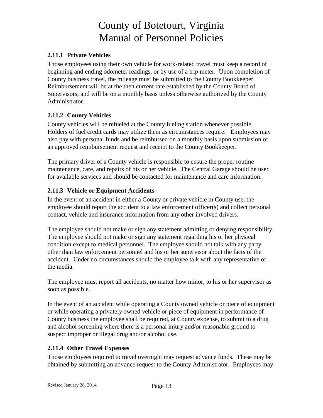#### <span id="page-16-0"></span>**2.11.1 Private Vehicles**

Those employees using their own vehicle for work-related travel must keep a record of beginning and ending odometer readings, or by use of a trip meter. Upon completion of County business travel, the mileage must be submitted to the County Bookkeeper. Reimbursement will be at the then current rate established by the County Board of Supervisors, and will be on a monthly basis unless otherwise authorized by the County Administrator.

#### <span id="page-16-1"></span>**2.11.2 County Vehicles**

County vehicles will be refueled at the County fueling station whenever possible. Holders of fuel credit cards may utilize them as circumstances require. Employees may also pay with personal funds and be reimbursed on a monthly basis upon submission of an approved reimbursement request and receipt to the County Bookkeeper.

The primary driver of a County vehicle is responsible to ensure the proper routine maintenance, care, and repairs of his or her vehicle. The Central Garage should be used for available services and should be contacted for maintenance and care information.

#### <span id="page-16-2"></span>**2.11.3 Vehicle or Equipment Accidents**

In the event of an accident in either a County or private vehicle in County use, the employee should report the accident to a law enforcement officer(s) and collect personal contact, vehicle and insurance information from any other involved drivers.

The employee should not make or sign any statement admitting or denying responsibility. The employee should not make or sign any statement regarding his or her physical condition except to medical personnel. The employee should not talk with any party other than law enforcement personnel and his or her supervisor about the facts of the accident. Under no circumstances should the employee talk with any representative of the media.

The employee must report all accidents, no matter how minor, to his or her supervisor as soon as possible.

In the event of an accident while operating a County owned vehicle or piece of equipment or while operating a privately owned vehicle or piece of equipment in performance of County business the employee shall be required, at County expense, to submit to a drug and alcohol screening where there is a personal injury and/or reasonable ground to suspect improper or illegal drug and/or alcohol use.

#### <span id="page-16-3"></span>**2.11.4 Other Travel Expenses**

Those employees required to travel overnight may request advance funds. These may be obtained by submitting an advance request to the County Administrator. Employees may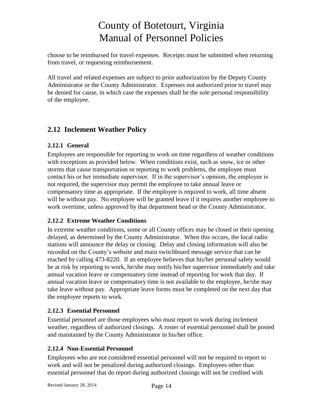choose to be reimbursed for travel expenses. Receipts must be submitted when returning from travel, or requesting reimbursement.

All travel and related expenses are subject to prior authorization by the Deputy County Administrator or the County Administrator. Expenses not authorized prior to travel may be denied for cause, in which case the expenses shall be the sole personal responsibility of the employee.

## <span id="page-17-0"></span>**2.12 Inclement Weather Policy**

### <span id="page-17-1"></span>**2.12.1 General**

Employees are responsible for reporting to work on time regardless of weather conditions with exceptions as provided below. When conditions exist, such as snow, ice or other storms that cause transportation or reporting to work problems, the employee must contact his or her immediate supervisor. If in the supervisor's opinion, the employee is not required, the supervisor may permit the employee to take annual leave or compensatory time as appropriate. If the employee is required to work, all time absent will be without pay. No employee will be granted leave if it requires another employee to work overtime, unless approved by that department head or the County Administrator.

### <span id="page-17-2"></span>**2.12.2 Extreme Weather Conditions**

In extreme weather conditions, some or all County offices may be closed or their opening delayed, as determined by the County Administrator. When this occurs, the local radio stations will announce the delay or closing. Delay and closing information will also be recorded on the County's website and main switchboard message service that can be reached by calling 473-8220. If an employee believes that his/her personal safety would be at risk by reporting to work, he/she may notify his/her supervisor immediately and take annual vacation leave or compensatory time instead of reporting for work that day. If annual vacation leave or compensatory time is not available to the employee, he/she may take leave without pay. Appropriate leave forms must be completed on the next day that the employee reports to work.

### <span id="page-17-3"></span>**2.12.3 Essential Personnel**

Essential personnel are those employees who must report to work during inclement weather, regardless of authorized closings. A roster of essential personnel shall be posted and maintained by the County Administrator in his/her office.

### <span id="page-17-4"></span>**2.12.4 Non-Essential Personnel**

Employees who are not considered essential personnel will not be required to report to work and will not be penalized during authorized closings. Employees other than essential personnel that do report during authorized closings will not be credited with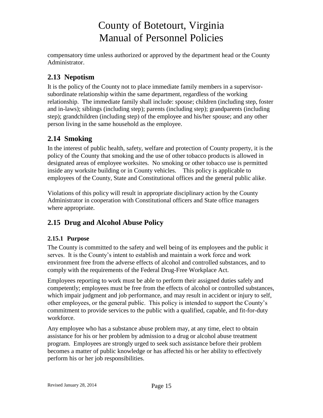compensatory time unless authorized or approved by the department head or the County Administrator.

## <span id="page-18-0"></span>**2.13 Nepotism**

It is the policy of the County not to place immediate family members in a supervisorsubordinate relationship within the same department, regardless of the working relationship. The immediate family shall include: spouse; children (including step, foster and in-laws); siblings (including step); parents (including step); grandparents (including step); grandchildren (including step) of the employee and his/her spouse; and any other person living in the same household as the employee.

## <span id="page-18-1"></span>**2.14 Smoking**

In the interest of public health, safety, welfare and protection of County property, it is the policy of the County that smoking and the use of other tobacco products is allowed in designated areas of employee worksites. No smoking or other tobacco use is permitted inside any worksite building or in County vehicles. This policy is applicable to employees of the County, State and Constitutional offices and the general public alike.

Violations of this policy will result in appropriate disciplinary action by the County Administrator in cooperation with Constitutional officers and State office managers where appropriate.

## <span id="page-18-2"></span>**2.15 Drug and Alcohol Abuse Policy**

### <span id="page-18-3"></span>**2.15.1 Purpose**

The County is committed to the safety and well being of its employees and the public it serves. It is the County's intent to establish and maintain a work force and work environment free from the adverse effects of alcohol and controlled substances, and to comply with the requirements of the Federal Drug-Free Workplace Act.

Employees reporting to work must be able to perform their assigned duties safely and competently; employees must be free from the effects of alcohol or controlled substances, which impair judgment and job performance, and may result in accident or injury to self, other employees, or the general public. This policy is intended to support the County's commitment to provide services to the public with a qualified, capable, and fit-for-duty workforce.

Any employee who has a substance abuse problem may, at any time, elect to obtain assistance for his or her problem by admission to a drug or alcohol abuse treatment program. Employees are strongly urged to seek such assistance before their problem becomes a matter of public knowledge or has affected his or her ability to effectively perform his or her job responsibilities.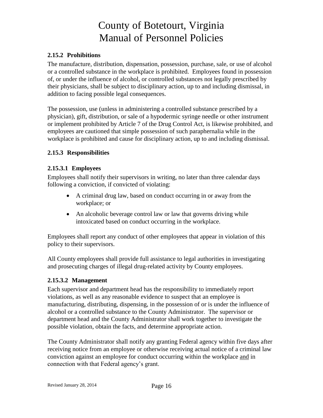#### <span id="page-19-0"></span>**2.15.2 Prohibitions**

The manufacture, distribution, dispensation, possession, purchase, sale, or use of alcohol or a controlled substance in the workplace is prohibited. Employees found in possession of, or under the influence of alcohol, or controlled substances not legally prescribed by their physicians, shall be subject to disciplinary action, up to and including dismissal, in addition to facing possible legal consequences.

The possession, use (unless in administering a controlled substance prescribed by a physician), gift, distribution, or sale of a hypodermic syringe needle or other instrument or implement prohibited by Article 7 of the Drug Control Act, is likewise prohibited, and employees are cautioned that simple possession of such paraphernalia while in the workplace is prohibited and cause for disciplinary action, up to and including dismissal.

#### <span id="page-19-1"></span>**2.15.3 Responsibilities**

#### **2.15.3.1 Employees**

Employees shall notify their supervisors in writing, no later than three calendar days following a conviction, if convicted of violating:

- A criminal drug law, based on conduct occurring in or away from the workplace; or
- An alcoholic beverage control law or law that governs driving while intoxicated based on conduct occurring in the workplace.

Employees shall report any conduct of other employees that appear in violation of this policy to their supervisors.

All County employees shall provide full assistance to legal authorities in investigating and prosecuting charges of illegal drug-related activity by County employees.

#### **2.15.3.2 Management**

Each supervisor and department head has the responsibility to immediately report violations, as well as any reasonable evidence to suspect that an employee is manufacturing, distributing, dispensing, in the possession of or is under the influence of alcohol or a controlled substance to the County Administrator. The supervisor or department head and the County Administrator shall work together to investigate the possible violation, obtain the facts, and determine appropriate action.

The County Administrator shall notify any granting Federal agency within five days after receiving notice from an employee or otherwise receiving actual notice of a criminal law conviction against an employee for conduct occurring within the workplace and in connection with that Federal agency's grant.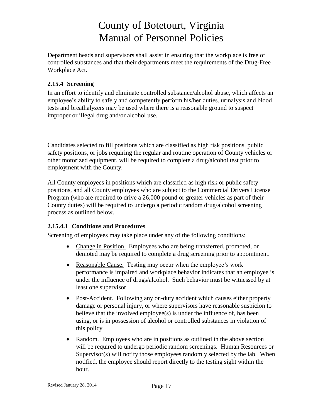Department heads and supervisors shall assist in ensuring that the workplace is free of controlled substances and that their departments meet the requirements of the Drug-Free Workplace Act.

### <span id="page-20-0"></span>**2.15.4 Screening**

In an effort to identify and eliminate controlled substance/alcohol abuse, which affects an employee's ability to safely and competently perform his/her duties, urinalysis and blood tests and breathalyzers may be used where there is a reasonable ground to suspect improper or illegal drug and/or alcohol use.

Candidates selected to fill positions which are classified as high risk positions, public safety positions, or jobs requiring the regular and routine operation of County vehicles or other motorized equipment, will be required to complete a drug/alcohol test prior to employment with the County.

All County employees in positions which are classified as high risk or public safety positions, and all County employees who are subject to the Commercial Drivers License Program (who are required to drive a 26,000 pound or greater vehicles as part of their County duties) will be required to undergo a periodic random drug/alcohol screening process as outlined below.

### **2.15.4.1 Conditions and Procedures**

Screening of employees may take place under any of the following conditions:

- Change in Position. Employees who are being transferred, promoted, or demoted may be required to complete a drug screening prior to appointment.
- Reasonable Cause. Testing may occur when the employee's work performance is impaired and workplace behavior indicates that an employee is under the influence of drugs/alcohol. Such behavior must be witnessed by at least one supervisor.
- Post-Accident. Following any on-duty accident which causes either property damage or personal injury, or where supervisors have reasonable suspicion to believe that the involved employee(s) is under the influence of, has been using, or is in possession of alcohol or controlled substances in violation of this policy.
- Random. Employees who are in positions as outlined in the above section will be required to undergo periodic random screenings. Human Resources or Supervisor(s) will notify those employees randomly selected by the lab. When notified, the employee should report directly to the testing sight within the hour.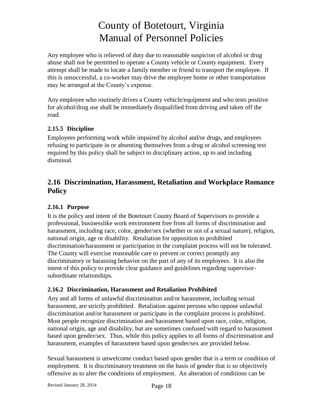Any employee who is relieved of duty due to reasonable suspicion of alcohol or drug abuse shall not be permitted to operate a County vehicle or County equipment. Every attempt shall be made to locate a family member or friend to transport the employee. If this is unsuccessful, a co-worker may drive the employee home or other transportation may be arranged at the County's expense.

Any employee who routinely drives a County vehicle/equipment and who tests positive for alcohol/drug use shall be immediately disqualified from driving and taken off the road.

### <span id="page-21-0"></span>**2.15.5 Discipline**

Employees performing work while impaired by alcohol and/or drugs, and employees refusing to participate in or absenting themselves from a drug or alcohol screening test required by this policy shall be subject to disciplinary action, up to and including dismissal.

## <span id="page-21-1"></span>**2.16 Discrimination, Harassment, Retaliation and Workplace Romance Policy**

### <span id="page-21-2"></span>**2.16.1 Purpose**

It is the policy and intent of the Botetourt County Board of Supervisors to provide a professional, businesslike work environment free from all forms of discrimination and harassment, including race, color, gender/sex (whether or not of a sexual nature), religion, national origin, age or disability. Retaliation for opposition to prohibited discrimination/harassment or participation in the complaint process will not be tolerated. The County will exercise reasonable care to prevent or correct promptly any discriminatory or harassing behavior on the part of any of its employees. It is also the intent of this policy to provide clear guidance and guidelines regarding supervisorsubordinate relationships.

#### <span id="page-21-3"></span>**2.16.2 Discrimination, Harassment and Retaliation Prohibited**

Any and all forms of unlawful discrimination and/or harassment, including sexual harassment, are strictly prohibited. Retaliation against persons who oppose unlawful discrimination and/or harassment or participate in the complaint process is prohibited. Most people recognize discrimination and harassment based upon race, color, religion, national origin, age and disability, but are sometimes confused with regard to harassment based upon gender/sex. Thus, while this policy applies to all forms of discrimination and harassment, examples of harassment based upon gender/sex are provided below.

Sexual harassment is unwelcome conduct based upon gender that is a term or condition of employment. It is discriminatory treatment on the basis of gender that is so objectively offensive as to alter the conditions of employment. An alteration of conditions can be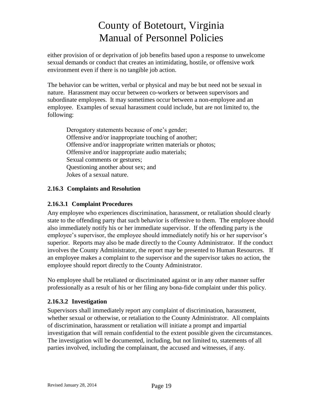either provision of or deprivation of job benefits based upon a response to unwelcome sexual demands or conduct that creates an intimidating, hostile, or offensive work environment even if there is no tangible job action.

The behavior can be written, verbal or physical and may be but need not be sexual in nature. Harassment may occur between co-workers or between supervisors and subordinate employees. It may sometimes occur between a non-employee and an employee. Examples of sexual harassment could include, but are not limited to, the following:

Derogatory statements because of one's gender; Offensive and/or inappropriate touching of another; Offensive and/or inappropriate written materials or photos; Offensive and/or inappropriate audio materials; Sexual comments or gestures; Questioning another about sex; and Jokes of a sexual nature.

#### <span id="page-22-0"></span>**2.16.3 Complaints and Resolution**

#### **2.16.3.1 Complaint Procedures**

Any employee who experiences discrimination, harassment, or retaliation should clearly state to the offending party that such behavior is offensive to them. The employee should also immediately notify his or her immediate supervisor. If the offending party is the employee's supervisor, the employee should immediately notify his or her supervisor's superior. Reports may also be made directly to the County Administrator. If the conduct involves the County Administrator, the report may be presented to Human Resources. If an employee makes a complaint to the supervisor and the supervisor takes no action, the employee should report directly to the County Administrator.

No employee shall be retaliated or discriminated against or in any other manner suffer professionally as a result of his or her filing any bona-fide complaint under this policy.

#### **2.16.3.2 Investigation**

Supervisors shall immediately report any complaint of discrimination, harassment, whether sexual or otherwise, or retaliation to the County Administrator. All complaints of discrimination, harassment or retaliation will initiate a prompt and impartial investigation that will remain confidential to the extent possible given the circumstances. The investigation will be documented, including, but not limited to, statements of all parties involved, including the complainant, the accused and witnesses, if any.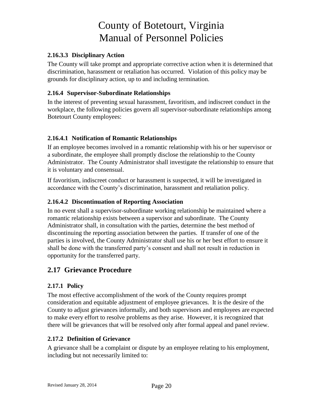#### **2.16.3.3 Disciplinary Action**

The County will take prompt and appropriate corrective action when it is determined that discrimination, harassment or retaliation has occurred. Violation of this policy may be grounds for disciplinary action, up to and including termination.

### <span id="page-23-0"></span>**2.16.4 Supervisor-Subordinate Relationships**

In the interest of preventing sexual harassment, favoritism, and indiscreet conduct in the workplace, the following policies govern all supervisor-subordinate relationships among Botetourt County employees:

#### **2.16.4.1 Notification of Romantic Relationships**

If an employee becomes involved in a romantic relationship with his or her supervisor or a subordinate, the employee shall promptly disclose the relationship to the County Administrator. The County Administrator shall investigate the relationship to ensure that it is voluntary and consensual.

If favoritism, indiscreet conduct or harassment is suspected, it will be investigated in accordance with the County's discrimination, harassment and retaliation policy.

#### **2.16.4.2 Discontinuation of Reporting Association**

In no event shall a supervisor-subordinate working relationship be maintained where a romantic relationship exists between a supervisor and subordinate. The County Administrator shall, in consultation with the parties, determine the best method of discontinuing the reporting association between the parties. If transfer of one of the parties is involved, the County Administrator shall use his or her best effort to ensure it shall be done with the transferred party's consent and shall not result in reduction in opportunity for the transferred party.

### <span id="page-23-1"></span>**2.17 Grievance Procedure**

### <span id="page-23-2"></span>**2.17.1 Policy**

The most effective accomplishment of the work of the County requires prompt consideration and equitable adjustment of employee grievances. It is the desire of the County to adjust grievances informally, and both supervisors and employees are expected to make every effort to resolve problems as they arise. However, it is recognized that there will be grievances that will be resolved only after formal appeal and panel review.

#### <span id="page-23-3"></span>**2.17.2 Definition of Grievance**

A grievance shall be a complaint or dispute by an employee relating to his employment, including but not necessarily limited to: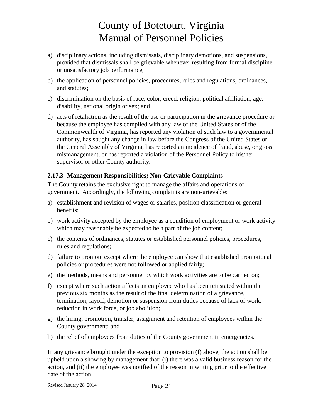- a) disciplinary actions, including dismissals, disciplinary demotions, and suspensions, provided that dismissals shall be grievable whenever resulting from formal discipline or unsatisfactory job performance;
- b) the application of personnel policies, procedures, rules and regulations, ordinances, and statutes;
- c) discrimination on the basis of race, color, creed, religion, political affiliation, age, disability, national origin or sex; and
- d) acts of retaliation as the result of the use or participation in the grievance procedure or because the employee has complied with any law of the United States or of the Commonwealth of Virginia, has reported any violation of such law to a governmental authority, has sought any change in law before the Congress of the United States or the General Assembly of Virginia, has reported an incidence of fraud, abuse, or gross mismanagement, or has reported a violation of the Personnel Policy to his/her supervisor or other County authority.

### <span id="page-24-0"></span>**2.17.3 Management Responsibilities; Non-Grievable Complaints**

The County retains the exclusive right to manage the affairs and operations of government. Accordingly, the following complaints are non-grievable:

- a) establishment and revision of wages or salaries, position classification or general benefits;
- b) work activity accepted by the employee as a condition of employment or work activity which may reasonably be expected to be a part of the job content;
- c) the contents of ordinances, statutes or established personnel policies, procedures, rules and regulations;
- d) failure to promote except where the employee can show that established promotional policies or procedures were not followed or applied fairly;
- e) the methods, means and personnel by which work activities are to be carried on;
- f) except where such action affects an employee who has been reinstated within the previous six months as the result of the final determination of a grievance, termination, layoff, demotion or suspension from duties because of lack of work, reduction in work force, or job abolition;
- g) the hiring, promotion, transfer, assignment and retention of employees within the County government; and
- h) the relief of employees from duties of the County government in emergencies.

In any grievance brought under the exception to provision (f) above, the action shall be upheld upon a showing by management that: (i) there was a valid business reason for the action, and (ii) the employee was notified of the reason in writing prior to the effective date of the action.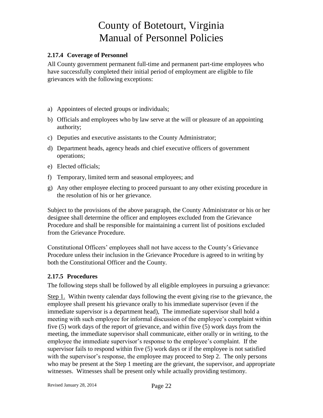#### <span id="page-25-0"></span>**2.17.4 Coverage of Personnel**

All County government permanent full-time and permanent part-time employees who have successfully completed their initial period of employment are eligible to file grievances with the following exceptions:

- a) Appointees of elected groups or individuals;
- b) Officials and employees who by law serve at the will or pleasure of an appointing authority;
- c) Deputies and executive assistants to the County Administrator;
- d) Department heads, agency heads and chief executive officers of government operations;
- e) Elected officials;
- f) Temporary, limited term and seasonal employees; and
- g) Any other employee electing to proceed pursuant to any other existing procedure in the resolution of his or her grievance.

Subject to the provisions of the above paragraph, the County Administrator or his or her designee shall determine the officer and employees excluded from the Grievance Procedure and shall be responsible for maintaining a current list of positions excluded from the Grievance Procedure.

Constitutional Officers' employees shall not have access to the County's Grievance Procedure unless their inclusion in the Grievance Procedure is agreed to in writing by both the Constitutional Officer and the County.

#### <span id="page-25-1"></span>**2.17.5 Procedures**

The following steps shall be followed by all eligible employees in pursuing a grievance:

Step 1. Within twenty calendar days following the event giving rise to the grievance, the employee shall present his grievance orally to his immediate supervisor (even if the immediate supervisor is a department head), The immediate supervisor shall hold a meeting with such employee for informal discussion of the employee's complaint within five (5) work days of the report of grievance, and within five (5) work days from the meeting, the immediate supervisor shall communicate, either orally or in writing, to the employee the immediate supervisor's response to the employee's complaint. If the supervisor fails to respond within five (5) work days or if the employee is not satisfied with the supervisor's response, the employee may proceed to Step 2. The only persons who may be present at the Step 1 meeting are the grievant, the supervisor, and appropriate witnesses. Witnesses shall be present only while actually providing testimony.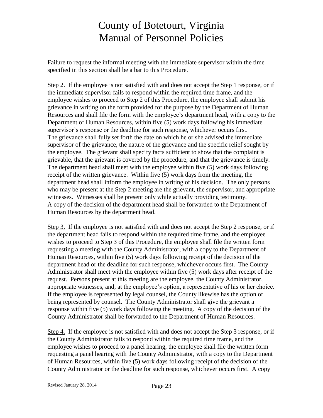Failure to request the informal meeting with the immediate supervisor within the time specified in this section shall be a bar to this Procedure.

Step 2. If the employee is not satisfied with and does not accept the Step 1 response, or if the immediate supervisor fails to respond within the required time frame, and the employee wishes to proceed to Step 2 of this Procedure, the employee shall submit his grievance in writing on the form provided for the purpose by the Department of Human Resources and shall file the form with the employee's department head, with a copy to the Department of Human Resources, within five (5) work days following his immediate supervisor's response or the deadline for such response, whichever occurs first. The grievance shall fully set forth the date on which he or she advised the immediate supervisor of the grievance, the nature of the grievance and the specific relief sought by the employee. The grievant shall specify facts sufficient to show that the complaint is grievable, that the grievant is covered by the procedure, and that the grievance is timely. The department head shall meet with the employee within five (5) work days following receipt of the written grievance. Within five (5) work days from the meeting, the department head shall inform the employee in writing of his decision. The only persons who may be present at the Step 2 meeting are the grievant, the supervisor, and appropriate witnesses. Witnesses shall be present only while actually providing testimony. A copy of the decision of the department head shall be forwarded to the Department of Human Resources by the department head.

Step 3. If the employee is not satisfied with and does not accept the Step 2 response, or if the department head fails to respond within the required time frame, and the employee wishes to proceed to Step 3 of this Procedure, the employee shall file the written form requesting a meeting with the County Administrator, with a copy to the Department of Human Resources, within five (5) work days following receipt of the decision of the department head or the deadline for such response, whichever occurs first. The County Administrator shall meet with the employee within five (5) work days after receipt of the request. Persons present at this meeting are the employee, the County Administrator, appropriate witnesses, and, at the employee's option, a representative of his or her choice. If the employee is represented by legal counsel, the County likewise has the option of being represented by counsel. The County Administrator shall give the grievant a response within five (5) work days following the meeting. A copy of the decision of the County Administrator shall be forwarded to the Department of Human Resources.

Step 4. If the employee is not satisfied with and does not accept the Step 3 response, or if the County Administrator fails to respond within the required time frame, and the employee wishes to proceed to a panel hearing, the employee shall file the written form requesting a panel hearing with the County Administrator, with a copy to the Department of Human Resources, within five (5) work days following receipt of the decision of the County Administrator or the deadline for such response, whichever occurs first. A copy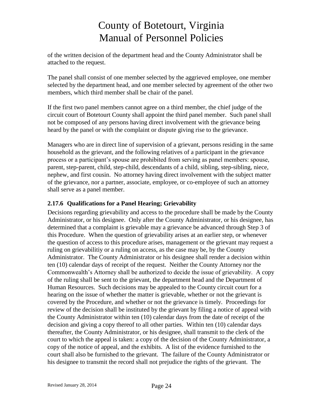of the written decision of the department head and the County Administrator shall be attached to the request.

The panel shall consist of one member selected by the aggrieved employee, one member selected by the department head, and one member selected by agreement of the other two members, which third member shall be chair of the panel.

If the first two panel members cannot agree on a third member, the chief judge of the circuit court of Botetourt County shall appoint the third panel member. Such panel shall not be composed of any persons having direct involvement with the grievance being heard by the panel or with the complaint or dispute giving rise to the grievance.

Managers who are in direct line of supervision of a grievant, persons residing in the same household as the grievant, and the following relatives of a participant in the grievance process or a participant's spouse are prohibited from serving as panel members: spouse, parent, step-parent, child, step-child, descendants of a child, sibling, step-sibling, niece, nephew, and first cousin. No attorney having direct involvement with the subject matter of the grievance, nor a partner, associate, employee, or co-employee of such an attorney shall serve as a panel member.

### <span id="page-27-0"></span>**2.17.6 Qualifications for a Panel Hearing; Grievability**

Decisions regarding grievability and access to the procedure shall be made by the County Administrator, or his designee. Only after the County Administrator, or his designee, has determined that a complaint is grievable may a grievance be advanced through Step 3 of this Procedure. When the question of grievability arises at an earlier step, or whenever the question of access to this procedure arises, management or the grievant may request a ruling on grievabilitiy or a ruling on access, as the case may be, by the County Administrator. The County Administrator or his designee shall render a decision within ten (10) calendar days of receipt of the request. Neither the County Attorney nor the Commonwealth's Attorney shall be authorized to decide the issue of grievability. A copy of the ruling shall be sent to the grievant, the department head and the Department of Human Resources. Such decisions may be appealed to the County circuit court for a hearing on the issue of whether the matter is grievable, whether or not the grievant is covered by the Procedure, and whether or not the grievance is timely. Proceedings for review of the decision shall be instituted by the grievant by filing a notice of appeal with the County Administrator within ten (10) calendar days from the date of receipt of the decision and giving a copy thereof to all other parties. Within ten (10) calendar days thereafter, the County Administrator, or his designee, shall transmit to the clerk of the court to which the appeal is taken: a copy of the decision of the County Administrator, a copy of the notice of appeal, and the exhibits. A list of the evidence furnished to the court shall also be furnished to the grievant. The failure of the County Administrator or his designee to transmit the record shall not prejudice the rights of the grievant. The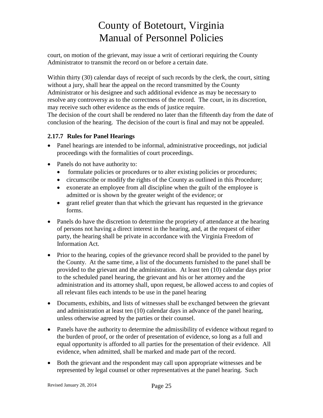court, on motion of the grievant, may issue a writ of certiorari requiring the County Administrator to transmit the record on or before a certain date.

Within thirty (30) calendar days of receipt of such records by the clerk, the court, sitting without a jury, shall hear the appeal on the record transmitted by the County Administrator or his designee and such additional evidence as may be necessary to resolve any controversy as to the correctness of the record. The court, in its discretion, may receive such other evidence as the ends of justice require. The decision of the court shall be rendered no later than the fifteenth day from the date of conclusion of the hearing. The decision of the court is final and may not be appealed.

### <span id="page-28-0"></span>**2.17.7 Rules for Panel Hearings**

- Panel hearings are intended to be informal, administrative proceedings, not judicial proceedings with the formalities of court proceedings.
- Panels do not have authority to:
	- formulate policies or procedures or to alter existing policies or procedures;
	- circumscribe or modify the rights of the County as outlined in this Procedure;
	- exonerate an employee from all discipline when the guilt of the employee is admitted or is shown by the greater weight of the evidence; or
	- grant relief greater than that which the grievant has requested in the grievance forms.
- Panels do have the discretion to determine the propriety of attendance at the hearing of persons not having a direct interest in the hearing, and, at the request of either party, the hearing shall be private in accordance with the Virginia Freedom of Information Act.
- Prior to the hearing, copies of the grievance record shall be provided to the panel by the County. At the same time, a list of the documents furnished to the panel shall be provided to the grievant and the administration. At least ten (10) calendar days prior to the scheduled panel hearing, the grievant and his or her attorney and the administration and its attorney shall, upon request, be allowed access to and copies of all relevant files each intends to be use in the panel hearing
- Documents, exhibits, and lists of witnesses shall be exchanged between the grievant and administration at least ten (10) calendar days in advance of the panel hearing, unless otherwise agreed by the parties or their counsel.
- Panels have the authority to determine the admissibility of evidence without regard to the burden of proof, or the order of presentation of evidence, so long as a full and equal opportunity is afforded to all parties for the presentation of their evidence. All evidence, when admitted, shall be marked and made part of the record.
- Both the grievant and the respondent may call upon appropriate witnesses and be represented by legal counsel or other representatives at the panel hearing. Such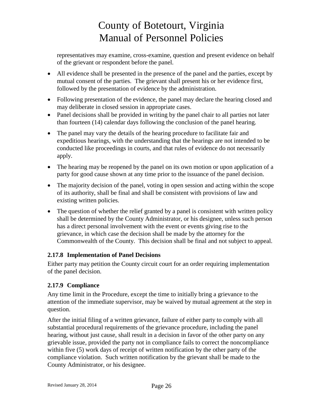representatives may examine, cross-examine, question and present evidence on behalf of the grievant or respondent before the panel.

- All evidence shall be presented in the presence of the panel and the parties, except by mutual consent of the parties. The grievant shall present his or her evidence first, followed by the presentation of evidence by the administration.
- Following presentation of the evidence, the panel may declare the hearing closed and may deliberate in closed session in appropriate cases.
- Panel decisions shall be provided in writing by the panel chair to all parties not later than fourteen (14) calendar days following the conclusion of the panel hearing.
- The panel may vary the details of the hearing procedure to facilitate fair and expeditious hearings, with the understanding that the hearings are not intended to be conducted like proceedings in courts, and that rules of evidence do not necessarily apply.
- The hearing may be reopened by the panel on its own motion or upon application of a party for good cause shown at any time prior to the issuance of the panel decision.
- The majority decision of the panel, voting in open session and acting within the scope of its authority, shall be final and shall be consistent with provisions of law and existing written policies.
- The question of whether the relief granted by a panel is consistent with written policy shall be determined by the County Administrator, or his designee, unless such person has a direct personal involvement with the event or events giving rise to the grievance, in which case the decision shall be made by the attorney for the Commonwealth of the County. This decision shall be final and not subject to appeal.

### <span id="page-29-0"></span>**2.17.8 Implementation of Panel Decisions**

Either party may petition the County circuit court for an order requiring implementation of the panel decision.

### <span id="page-29-1"></span>**2.17.9 Compliance**

Any time limit in the Procedure, except the time to initially bring a grievance to the attention of the immediate supervisor, may be waived by mutual agreement at the step in question.

After the initial filing of a written grievance, failure of either party to comply with all substantial procedural requirements of the grievance procedure, including the panel hearing, without just cause, shall result in a decision in favor of the other party on any grievable issue, provided the party not in compliance fails to correct the noncompliance within five (5) work days of receipt of written notification by the other party of the compliance violation. Such written notification by the grievant shall be made to the County Administrator, or his designee.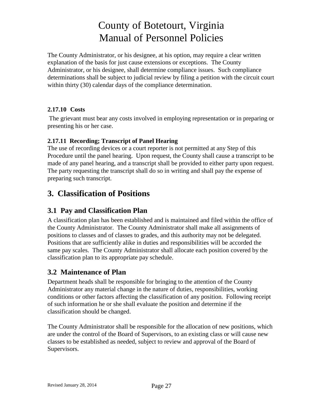The County Administrator, or his designee, at his option, may require a clear written explanation of the basis for just cause extensions or exceptions. The County Administrator, or his designee, shall determine compliance issues. Such compliance determinations shall be subject to judicial review by filing a petition with the circuit court within thirty (30) calendar days of the compliance determination.

#### <span id="page-30-0"></span>**2.17.10 Costs**

The grievant must bear any costs involved in employing representation or in preparing or presenting his or her case.

#### **2.17.11 Recording; Transcript of Panel Hearing**

The use of recording devices or a court reporter is not permitted at any Step of this Procedure until the panel hearing. Upon request, the County shall cause a transcript to be made of any panel hearing, and a transcript shall be provided to either party upon request. The party requesting the transcript shall do so in writing and shall pay the expense of preparing such transcript.

## <span id="page-30-1"></span>**3. Classification of Positions**

### <span id="page-30-2"></span>**3.1 Pay and Classification Plan**

A classification plan has been established and is maintained and filed within the office of the County Administrator. The County Administrator shall make all assignments of positions to classes and of classes to grades, and this authority may not be delegated. Positions that are sufficiently alike in duties and responsibilities will be accorded the same pay scales. The County Administrator shall allocate each position covered by the classification plan to its appropriate pay schedule.

### <span id="page-30-3"></span>**3.2 Maintenance of Plan**

Department heads shall be responsible for bringing to the attention of the County Administrator any material change in the nature of duties, responsibilities, working conditions or other factors affecting the classification of any position. Following receipt of such information he or she shall evaluate the position and determine if the classification should be changed.

The County Administrator shall be responsible for the allocation of new positions, which are under the control of the Board of Supervisors, to an existing class or will cause new classes to be established as needed, subject to review and approval of the Board of Supervisors.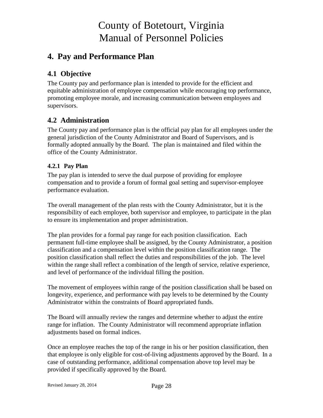## <span id="page-31-0"></span>**4. Pay and Performance Plan**

## <span id="page-31-1"></span>**4.1 Objective**

The County pay and performance plan is intended to provide for the efficient and equitable administration of employee compensation while encouraging top performance, promoting employee morale, and increasing communication between employees and supervisors.

### <span id="page-31-2"></span>**4.2 Administration**

The County pay and performance plan is the official pay plan for all employees under the general jurisdiction of the County Administrator and Board of Supervisors, and is formally adopted annually by the Board. The plan is maintained and filed within the office of the County Administrator.

#### <span id="page-31-3"></span>**4.2.1 Pay Plan**

The pay plan is intended to serve the dual purpose of providing for employee compensation and to provide a forum of formal goal setting and supervisor-employee performance evaluation.

The overall management of the plan rests with the County Administrator, but it is the responsibility of each employee, both supervisor and employee, to participate in the plan to ensure its implementation and proper administration.

The plan provides for a formal pay range for each position classification. Each permanent full-time employee shall be assigned, by the County Administrator, a position classification and a compensation level within the position classification range. The position classification shall reflect the duties and responsibilities of the job. The level within the range shall reflect a combination of the length of service, relative experience, and level of performance of the individual filling the position.

The movement of employees within range of the position classification shall be based on longevity, experience, and performance with pay levels to be determined by the County Administrator within the constraints of Board appropriated funds.

The Board will annually review the ranges and determine whether to adjust the entire range for inflation. The County Administrator will recommend appropriate inflation adjustments based on formal indices.

Once an employee reaches the top of the range in his or her position classification, then that employee is only eligible for cost-of-living adjustments approved by the Board. In a case of outstanding performance, additional compensation above top level may be provided if specifically approved by the Board.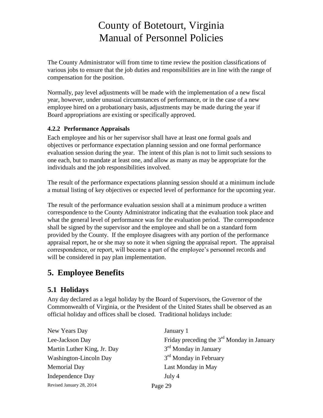The County Administrator will from time to time review the position classifications of various jobs to ensure that the job duties and responsibilities are in line with the range of compensation for the position.

Normally, pay level adjustments will be made with the implementation of a new fiscal year, however, under unusual circumstances of performance, or in the case of a new employee hired on a probationary basis, adjustments may be made during the year if Board appropriations are existing or specifically approved.

### <span id="page-32-0"></span>**4.2.2 Performance Appraisals**

Each employee and his or her supervisor shall have at least one formal goals and objectives or performance expectation planning session and one formal performance evaluation session during the year. The intent of this plan is not to limit such sessions to one each, but to mandate at least one, and allow as many as may be appropriate for the individuals and the job responsibilities involved.

The result of the performance expectations planning session should at a minimum include a mutual listing of key objectives or expected level of performance for the upcoming year.

The result of the performance evaluation session shall at a minimum produce a written correspondence to the County Administrator indicating that the evaluation took place and what the general level of performance was for the evaluation period. The correspondence shall be signed by the supervisor and the employee and shall be on a standard form provided by the County. If the employee disagrees with any portion of the performance appraisal report, he or she may so note it when signing the appraisal report. The appraisal correspondence, or report, will become a part of the employee's personnel records and will be considered in pay plan implementation.

# <span id="page-32-1"></span>**5. Employee Benefits**

## <span id="page-32-2"></span>**5.1 Holidays**

Any day declared as a legal holiday by the Board of Supervisors, the Governor of the Commonwealth of Virginia, or the President of the United States shall be observed as an official holiday and offices shall be closed. Traditional holidays include:

| New Years Day               | January 1                                    |
|-----------------------------|----------------------------------------------|
| Lee-Jackson Day             | Friday preceding the $3rd$ Monday in January |
| Martin Luther King, Jr. Day | 3 <sup>rd</sup> Monday in January            |
| Washington-Lincoln Day      | 3 <sup>rd</sup> Monday in February           |
| <b>Memorial Day</b>         | Last Monday in May                           |
| Independence Day            | July 4                                       |
| Revised January 28, 2014    | Page 29                                      |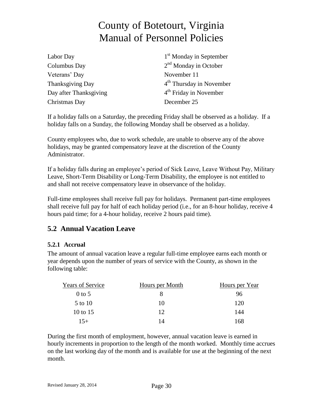| Labor Day              | 1 <sup>st</sup> Monday in September  |
|------------------------|--------------------------------------|
| Columbus Day           | $2nd$ Monday in October              |
| Veterans' Day          | November 11                          |
| Thanksgiving Day       | 4 <sup>th</sup> Thursday in November |
| Day after Thanksgiving | $4th$ Friday in November             |
| Christmas Day          | December 25                          |
|                        |                                      |

If a holiday falls on a Saturday, the preceding Friday shall be observed as a holiday. If a holiday falls on a Sunday, the following Monday shall be observed as a holiday.

County employees who, due to work schedule, are unable to observe any of the above holidays, may be granted compensatory leave at the discretion of the County Administrator.

If a holiday falls during an employee's period of Sick Leave, Leave Without Pay, Military Leave, Short-Term Disability or Long-Term Disability, the employee is not entitled to and shall not receive compensatory leave in observance of the holiday.

Full-time employees shall receive full pay for holidays. Permanent part-time employees shall receive full pay for half of each holiday period (i.e., for an 8-hour holiday, receive 4 hours paid time; for a 4-hour holiday, receive 2 hours paid time).

### <span id="page-33-0"></span>**5.2 Annual Vacation Leave**

#### <span id="page-33-1"></span>**5.2.1 Accrual**

The amount of annual vacation leave a regular full-time employee earns each month or year depends upon the number of years of service with the County, as shown in the following table:

| <b>Years of Service</b> | Hours per Month | Hours per Year |
|-------------------------|-----------------|----------------|
| $0$ to 5                |                 | 96             |
| 5 to 10                 | 10              | 120            |
| 10 to 15                | 12              | 144            |
| $15+$                   | 14              | 168            |

During the first month of employment, however, annual vacation leave is earned in hourly increments in proportion to the length of the month worked. Monthly time accrues on the last working day of the month and is available for use at the beginning of the next month.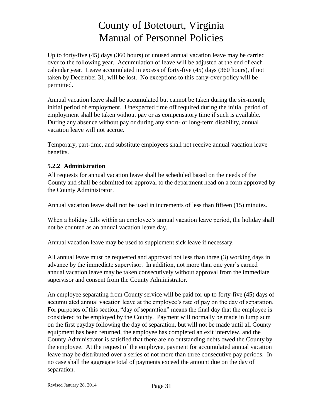Up to forty-five (45) days (360 hours) of unused annual vacation leave may be carried over to the following year. Accumulation of leave will be adjusted at the end of each calendar year. Leave accumulated in excess of forty-five (45) days (360 hours), if not taken by December 31, will be lost. No exceptions to this carry-over policy will be permitted.

Annual vacation leave shall be accumulated but cannot be taken during the six-month; initial period of employment. Unexpected time off required during the initial period of employment shall be taken without pay or as compensatory time if such is available. During any absence without pay or during any short- or long-term disability, annual vacation leave will not accrue.

Temporary, part-time, and substitute employees shall not receive annual vacation leave benefits.

#### <span id="page-34-0"></span>**5.2.2 Administration**

All requests for annual vacation leave shall be scheduled based on the needs of the County and shall be submitted for approval to the department head on a form approved by the County Administrator.

Annual vacation leave shall not be used in increments of less than fifteen (15) minutes.

When a holiday falls within an employee's annual vacation leave period, the holiday shall not be counted as an annual vacation leave day.

Annual vacation leave may be used to supplement sick leave if necessary.

All annual leave must be requested and approved not less than three (3) working days in advance by the immediate supervisor. In addition, not more than one year's earned annual vacation leave may be taken consecutively without approval from the immediate supervisor and consent from the County Administrator.

An employee separating from County service will be paid for up to forty-five (45) days of accumulated annual vacation leave at the employee's rate of pay on the day of separation. For purposes of this section, "day of separation" means the final day that the employee is considered to be employed by the County. Payment will normally be made in lump sum on the first payday following the day of separation, but will not be made until all County equipment has been returned, the employee has completed an exit interview, and the County Administrator is satisfied that there are no outstanding debts owed the County by the employee. At the request of the employee, payment for accumulated annual vacation leave may be distributed over a series of not more than three consecutive pay periods. In no case shall the aggregate total of payments exceed the amount due on the day of separation.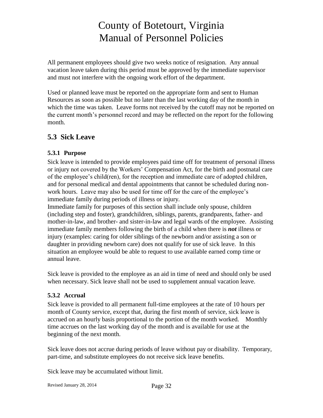All permanent employees should give two weeks notice of resignation. Any annual vacation leave taken during this period must be approved by the immediate supervisor and must not interfere with the ongoing work effort of the department.

Used or planned leave must be reported on the appropriate form and sent to Human Resources as soon as possible but no later than the last working day of the month in which the time was taken. Leave forms not received by the cutoff may not be reported on the current month's personnel record and may be reflected on the report for the following month.

## <span id="page-35-0"></span>**5.3 Sick Leave**

### <span id="page-35-1"></span>**5.3.1 Purpose**

Sick leave is intended to provide employees paid time off for treatment of personal illness or injury not covered by the Workers' Compensation Act, for the birth and postnatal care of the employee's child(ren), for the reception and immediate care of adopted children, and for personal medical and dental appointments that cannot be scheduled during nonwork hours. Leave may also be used for time off for the care of the employee's immediate family during periods of illness or injury.

Immediate family for purposes of this section shall include only spouse, children (including step and foster), grandchildren, siblings, parents, grandparents, father- and mother-in-law, and brother- and sister-in-law and legal wards of the employee. Assisting immediate family members following the birth of a child when there is *not* illness or injury (examples: caring for older siblings of the newborn and/or assisting a son or daughter in providing newborn care) does not qualify for use of sick leave. In this situation an employee would be able to request to use available earned comp time or annual leave.

Sick leave is provided to the employee as an aid in time of need and should only be used when necessary. Sick leave shall not be used to supplement annual vacation leave.

#### <span id="page-35-2"></span>**5.3.2 Accrual**

Sick leave is provided to all permanent full-time employees at the rate of 10 hours per month of County service, except that, during the first month of service, sick leave is accrued on an hourly basis proportional to the portion of the month worked. Monthly time accrues on the last working day of the month and is available for use at the beginning of the next month.

Sick leave does not accrue during periods of leave without pay or disability. Temporary, part-time, and substitute employees do not receive sick leave benefits.

Sick leave may be accumulated without limit.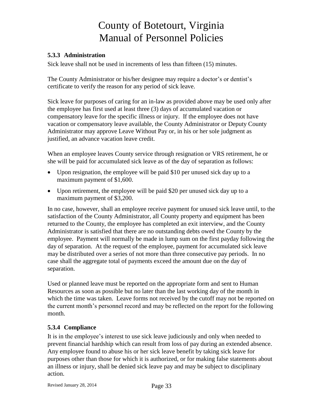#### <span id="page-36-0"></span>**5.3.3 Administration**

Sick leave shall not be used in increments of less than fifteen (15) minutes.

The County Administrator or his/her designee may require a doctor's or dentist's certificate to verify the reason for any period of sick leave.

Sick leave for purposes of caring for an in-law as provided above may be used only after the employee has first used at least three (3) days of accumulated vacation or compensatory leave for the specific illness or injury. If the employee does not have vacation or compensatory leave available, the County Administrator or Deputy County Administrator may approve Leave Without Pay or, in his or her sole judgment as justified, an advance vacation leave credit.

When an employee leaves County service through resignation or VRS retirement, he or she will be paid for accumulated sick leave as of the day of separation as follows:

- Upon resignation, the employee will be paid \$10 per unused sick day up to a maximum payment of \$1,600.
- Upon retirement, the employee will be paid \$20 per unused sick day up to a maximum payment of \$3,200.

In no case, however, shall an employee receive payment for unused sick leave until, to the satisfaction of the County Administrator, all County property and equipment has been returned to the County, the employee has completed an exit interview, and the County Administrator is satisfied that there are no outstanding debts owed the County by the employee. Payment will normally be made in lump sum on the first payday following the day of separation. At the request of the employee, payment for accumulated sick leave may be distributed over a series of not more than three consecutive pay periods. In no case shall the aggregate total of payments exceed the amount due on the day of separation.

Used or planned leave must be reported on the appropriate form and sent to Human Resources as soon as possible but no later than the last working day of the month in which the time was taken. Leave forms not received by the cutoff may not be reported on the current month's personnel record and may be reflected on the report for the following month.

#### <span id="page-36-1"></span>**5.3.4 Compliance**

It is in the employee's interest to use sick leave judiciously and only when needed to prevent financial hardship which can result from loss of pay during an extended absence. Any employee found to abuse his or her sick leave benefit by taking sick leave for purposes other than those for which it is authorized, or for making false statements about an illness or injury, shall be denied sick leave pay and may be subject to disciplinary action.

Revised January 28, 2014 Page 33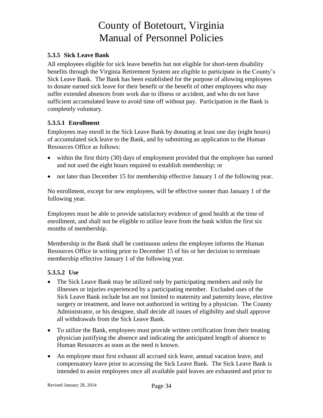#### <span id="page-37-0"></span>**5.3.5 Sick Leave Bank**

All employees eligible for sick leave benefits but not eligible for short-term disability benefits through the Virginia Retirement System are eligible to participate in the County's Sick Leave Bank. The Bank has been established for the purpose of allowing employees to donate earned sick leave for their benefit or the benefit of other employees who may suffer extended absences from work due to illness or accident, and who do not have sufficient accumulated leave to avoid time off without pay. Participation in the Bank is completely voluntary.

#### **5.3.5.1 Enrollment**

Employees may enroll in the Sick Leave Bank by donating at least one day (eight hours) of accumulated sick leave to the Bank, and by submitting an application to the Human Resources Office as follows:

- within the first thirty (30) days of employment provided that the employee has earned and not used the eight hours required to establish membership; or
- not later than December 15 for membership effective January 1 of the following year.

No enrollment, except for new employees, will be effective sooner than January 1 of the following year.

Employees must be able to provide satisfactory evidence of good health at the time of enrollment, and shall not be eligible to utilize leave from the bank within the first six months of membership.

Membership in the Bank shall be continuous unless the employee informs the Human Resources Office in writing prior to December 15 of his or her decision to terminate membership effective January 1 of the following year.

### **5.3.5.2 Use**

- The Sick Leave Bank may be utilized only by participating members and only for illnesses or injuries experienced by a participating member. Excluded uses of the Sick Leave Bank include but are not limited to maternity and paternity leave, elective surgery or treatment, and leave not authorized in writing by a physician. The County Administrator, or his designee, shall decide all issues of eligibility and shall approve all withdrawals from the Sick Leave Bank.
- To utilize the Bank, employees must provide written certification from their treating physician justifying the absence and indicating the anticipated length of absence to Human Resources as soon as the need is known.
- An employee must first exhaust all accrued sick leave, annual vacation leave, and compensatory leave prior to accessing the Sick Leave Bank. The Sick Leave Bank is intended to assist employees once all available paid leaves are exhausted and prior to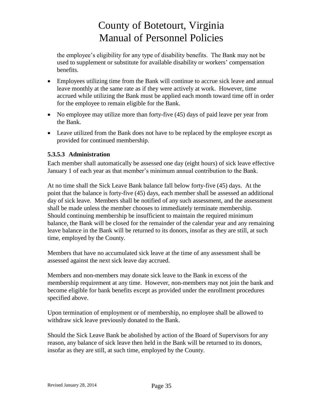the employee's eligibility for any type of disability benefits. The Bank may not be used to supplement or substitute for available disability or workers' compensation benefits.

- Employees utilizing time from the Bank will continue to accrue sick leave and annual leave monthly at the same rate as if they were actively at work. However, time accrued while utilizing the Bank must be applied each month toward time off in order for the employee to remain eligible for the Bank.
- No employee may utilize more than forty-five (45) days of paid leave per year from the Bank.
- Leave utilized from the Bank does not have to be replaced by the employee except as provided for continued membership.

#### **5.3.5.3 Administration**

Each member shall automatically be assessed one day (eight hours) of sick leave effective January 1 of each year as that member's minimum annual contribution to the Bank.

At no time shall the Sick Leave Bank balance fall below forty-five (45) days. At the point that the balance is forty-five (45) days, each member shall be assessed an additional day of sick leave. Members shall be notified of any such assessment, and the assessment shall be made unless the member chooses to immediately terminate membership. Should continuing membership be insufficient to maintain the required minimum balance, the Bank will be closed for the remainder of the calendar year and any remaining leave balance in the Bank will be returned to its donors, insofar as they are still, at such time, employed by the County.

Members that have no accumulated sick leave at the time of any assessment shall be assessed against the next sick leave day accrued.

Members and non-members may donate sick leave to the Bank in excess of the membership requirement at any time. However, non-members may not join the bank and become eligible for bank benefits except as provided under the enrollment procedures specified above.

Upon termination of employment or of membership, no employee shall be allowed to withdraw sick leave previously donated to the Bank.

Should the Sick Leave Bank be abolished by action of the Board of Supervisors for any reason, any balance of sick leave then held in the Bank will be returned to its donors, insofar as they are still, at such time, employed by the County.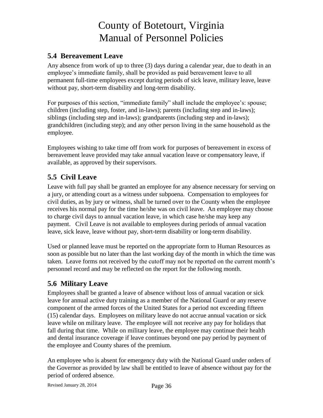## <span id="page-39-0"></span>**5.4 Bereavement Leave**

Any absence from work of up to three (3) days during a calendar year, due to death in an employee's immediate family, shall be provided as paid bereavement leave to all permanent full-time employees except during periods of sick leave, military leave, leave without pay, short-term disability and long-term disability.

For purposes of this section, "immediate family" shall include the employee's: spouse; children (including step, foster, and in-laws); parents (including step and in-laws); siblings (including step and in-laws); grandparents (including step and in-laws); grandchildren (including step); and any other person living in the same household as the employee.

Employees wishing to take time off from work for purposes of bereavement in excess of bereavement leave provided may take annual vacation leave or compensatory leave, if available, as approved by their supervisors.

## <span id="page-39-1"></span>**5.5 Civil Leave**

Leave with full pay shall be granted an employee for any absence necessary for serving on a jury, or attending court as a witness under subpoena. Compensation to employees for civil duties, as by jury or witness, shall be turned over to the County when the employee receives his normal pay for the time he/she was on civil leave. An employee may choose to charge civil days to annual vacation leave, in which case he/she may keep any payment. Civil Leave is not available to employees during periods of annual vacation leave, sick leave, leave without pay, short-term disability or long-term disability.

Used or planned leave must be reported on the appropriate form to Human Resources as soon as possible but no later than the last working day of the month in which the time was taken. Leave forms not received by the cutoff may not be reported on the current month's personnel record and may be reflected on the report for the following month.

## <span id="page-39-2"></span>**5.6 Military Leave**

Employees shall be granted a leave of absence without loss of annual vacation or sick leave for annual active duty training as a member of the National Guard or any reserve component of the armed forces of the United States for a period not exceeding fifteen (15) calendar days. Employees on military leave do not accrue annual vacation or sick leave while on military leave. The employee will not receive any pay for holidays that fall during that time. While on military leave, the employee may continue their health and dental insurance coverage if leave continues beyond one pay period by payment of the employee and County shares of the premium.

An employee who is absent for emergency duty with the National Guard under orders of the Governor as provided by law shall be entitled to leave of absence without pay for the period of ordered absence.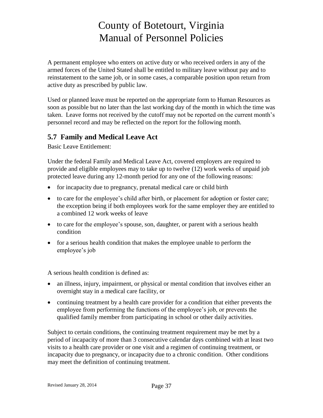A permanent employee who enters on active duty or who received orders in any of the armed forces of the United Stated shall be entitled to military leave without pay and to reinstatement to the same job, or in some cases, a comparable position upon return from active duty as prescribed by public law.

Used or planned leave must be reported on the appropriate form to Human Resources as soon as possible but no later than the last working day of the month in which the time was taken. Leave forms not received by the cutoff may not be reported on the current month's personnel record and may be reflected on the report for the following month.

## <span id="page-40-0"></span>**5.7 Family and Medical Leave Act**

Basic Leave Entitlement:

Under the federal Family and Medical Leave Act, covered employers are required to provide and eligible employees may to take up to twelve (12) work weeks of unpaid job protected leave during any 12-month period for any one of the following reasons:

- for incapacity due to pregnancy, prenatal medical care or child birth
- to care for the employee's child after birth, or placement for adoption or foster care; the exception being if both employees work for the same employer they are entitled to a combined 12 work weeks of leave
- to care for the employee's spouse, son, daughter, or parent with a serious health condition
- for a serious health condition that makes the employee unable to perform the employee's job

A serious health condition is defined as:

- an illness, injury, impairment, or physical or mental condition that involves either an overnight stay in a medical care facility, or
- continuing treatment by a health care provider for a condition that either prevents the employee from performing the functions of the employee's job, or prevents the qualified family member from participating in school or other daily activities.

Subject to certain conditions, the continuing treatment requirement may be met by a period of incapacity of more than 3 consecutive calendar days combined with at least two visits to a health care provider or one visit and a regimen of continuing treatment, or incapacity due to pregnancy, or incapacity due to a chronic condition. Other conditions may meet the definition of continuing treatment.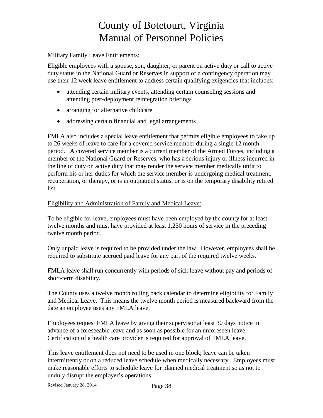Military Family Leave Entitlements:

Eligible employees with a spouse, son, daughter, or parent on active duty or call to active duty status in the National Guard or Reserves in support of a contingency operation may use their 12 week leave entitlement to address certain qualifying exigencies that includes:

- attending certain military events, attending certain counseling sessions and attending post-deployment reintegration briefings
- arranging for alternative childcare
- addressing certain financial and legal arrangements

FMLA also includes a special leave entitlement that permits eligible employees to take up to 26 weeks of leave to care for a covered service member during a single 12 month period. A covered service member is a current member of the Armed Forces, including a member of the National Guard or Reserves, who has a serious injury or illness incurred in the line of duty on active duty that may render the service member medically unfit to perform his or her duties for which the service member is undergoing medical treatment, recuperation, or therapy, or is in outpatient status, or is on the temporary disability retired list.

#### Eligibility and Administration of Family and Medical Leave:

To be eligible for leave, employees must have been employed by the county for at least twelve months and must have provided at least 1,250 hours of service in the preceding twelve month period.

Only unpaid leave is required to be provided under the law. However, employees shall be required to substitute accrued paid leave for any part of the required twelve weeks.

FMLA leave shall run concurrently with periods of sick leave without pay and periods of short-term disability.

The County uses a twelve month rolling back calendar to determine eligibility for Family and Medical Leave. This means the twelve month period is measured backward from the date an employee uses any FMLA leave.

Employees request FMLA leave by giving their supervisor at least 30 days notice in advance of a foreseeable leave and as soon as possible for an unforeseen leave. Certification of a health care provider is required for approval of FMLA leave.

This leave entitlement does not need to be used in one block; leave can be taken intermittently or on a reduced leave schedule when medically necessary. Employees must make reasonable efforts to schedule leave for planned medical treatment so as not to unduly disrupt the employer's operations.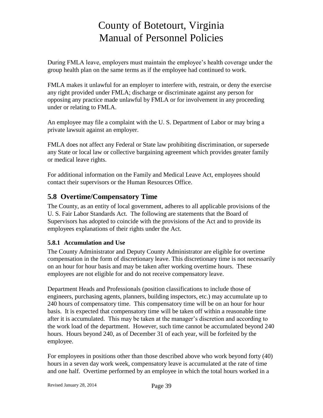During FMLA leave, employers must maintain the employee's health coverage under the group health plan on the same terms as if the employee had continued to work.

FMLA makes it unlawful for an employer to interfere with, restrain, or deny the exercise any right provided under FMLA; discharge or discriminate against any person for opposing any practice made unlawful by FMLA or for involvement in any proceeding under or relating to FMLA.

An employee may file a complaint with the U. S. Department of Labor or may bring a private lawsuit against an employer.

FMLA does not affect any Federal or State law prohibiting discrimination, or supersede any State or local law or collective bargaining agreement which provides greater family or medical leave rights.

For additional information on the Family and Medical Leave Act, employees should contact their supervisors or the Human Resources Office.

## <span id="page-42-0"></span>**5.8 Overtime/Compensatory Time**

The County, as an entity of local government, adheres to all applicable provisions of the U. S. Fair Labor Standards Act. The following are statements that the Board of Supervisors has adopted to coincide with the provisions of the Act and to provide its employees explanations of their rights under the Act.

### <span id="page-42-1"></span>**5.8.1 Accumulation and Use**

The County Administrator and Deputy County Administrator are eligible for overtime compensation in the form of discretionary leave. This discretionary time is not necessarily on an hour for hour basis and may be taken after working overtime hours. These employees are not eligible for and do not receive compensatory leave.

Department Heads and Professionals (position classifications to include those of engineers, purchasing agents, planners, building inspectors, etc.) may accumulate up to 240 hours of compensatory time. This compensatory time will be on an hour for hour basis. It is expected that compensatory time will be taken off within a reasonable time after it is accumulated. This may be taken at the manager's discretion and according to the work load of the department. However, such time cannot be accumulated beyond 240 hours. Hours beyond 240, as of December 31 of each year, will be forfeited by the employee.

For employees in positions other than those described above who work beyond forty (40) hours in a seven day work week, compensatory leave is accumulated at the rate of time and one half. Overtime performed by an employee in which the total hours worked in a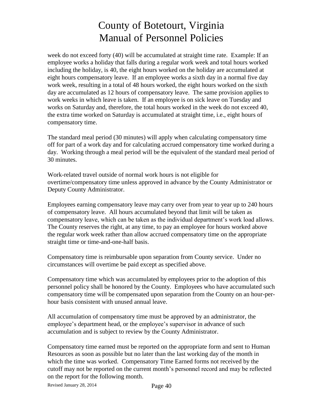week do not exceed forty (40) will be accumulated at straight time rate. Example: If an employee works a holiday that falls during a regular work week and total hours worked including the holiday, is 40, the eight hours worked on the holiday are accumulated at eight hours compensatory leave. If an employee works a sixth day in a normal five day work week, resulting in a total of 48 hours worked, the eight hours worked on the sixth day are accumulated as 12 hours of compensatory leave. The same provision applies to work weeks in which leave is taken. If an employee is on sick leave on Tuesday and works on Saturday and, therefore, the total hours worked in the week do not exceed 40, the extra time worked on Saturday is accumulated at straight time, i.e., eight hours of compensatory time.

The standard meal period (30 minutes) will apply when calculating compensatory time off for part of a work day and for calculating accrued compensatory time worked during a day. Working through a meal period will be the equivalent of the standard meal period of 30 minutes.

Work-related travel outside of normal work hours is not eligible for overtime/compensatory time unless approved in advance by the County Administrator or Deputy County Administrator.

Employees earning compensatory leave may carry over from year to year up to 240 hours of compensatory leave. All hours accumulated beyond that limit will be taken as compensatory leave, which can be taken as the individual department's work load allows. The County reserves the right, at any time, to pay an employee for hours worked above the regular work week rather than allow accrued compensatory time on the appropriate straight time or time-and-one-half basis.

Compensatory time is reimbursable upon separation from County service. Under no circumstances will overtime be paid except as specified above.

Compensatory time which was accumulated by employees prior to the adoption of this personnel policy shall be honored by the County. Employees who have accumulated such compensatory time will be compensated upon separation from the County on an hour-perhour basis consistent with unused annual leave.

All accumulation of compensatory time must be approved by an administrator, the employee's department head, or the employee's supervisor in advance of such accumulation and is subject to review by the County Administrator.

Compensatory time earned must be reported on the appropriate form and sent to Human Resources as soon as possible but no later than the last working day of the month in which the time was worked. Compensatory Time Earned forms not received by the cutoff may not be reported on the current month's personnel record and may be reflected on the report for the following month.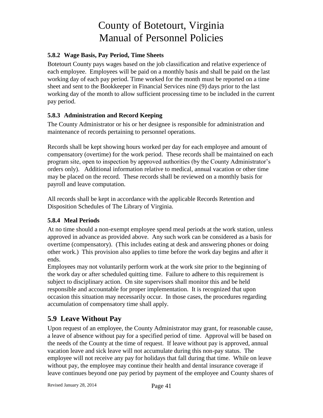#### <span id="page-44-0"></span>**5.8.2 Wage Basis, Pay Period, Time Sheets**

Botetourt County pays wages based on the job classification and relative experience of each employee. Employees will be paid on a monthly basis and shall be paid on the last working day of each pay period. Time worked for the month must be reported on a time sheet and sent to the Bookkeeper in Financial Services nine (9) days prior to the last working day of the month to allow sufficient processing time to be included in the current pay period.

#### <span id="page-44-1"></span>**5.8.3 Administration and Record Keeping**

The County Administrator or his or her designee is responsible for administration and maintenance of records pertaining to personnel operations.

Records shall be kept showing hours worked per day for each employee and amount of compensatory (overtime) for the work period. These records shall be maintained on each program site, open to inspection by approved authorities (by the County Administrator's orders only). Additional information relative to medical, annual vacation or other time may be placed on the record. These records shall be reviewed on a monthly basis for payroll and leave computation.

All records shall be kept in accordance with the applicable Records Retention and Disposition Schedules of The Library of Virginia.

### <span id="page-44-2"></span>**5.8.4 Meal Periods**

At no time should a non-exempt employee spend meal periods at the work station, unless approved in advance as provided above. Any such work can be considered as a basis for overtime (compensatory). (This includes eating at desk and answering phones or doing other work.) This provision also applies to time before the work day begins and after it ends.

Employees may not voluntarily perform work at the work site prior to the beginning of the work day or after scheduled quitting time. Failure to adhere to this requirement is subject to disciplinary action. On site supervisors shall monitor this and be held responsible and accountable for proper implementation. It is recognized that upon occasion this situation may necessarily occur. In those cases, the procedures regarding accumulation of compensatory time shall apply.

## <span id="page-44-3"></span>**5.9 Leave Without Pay**

Upon request of an employee, the County Administrator may grant, for reasonable cause, a leave of absence without pay for a specified period of time. Approval will be based on the needs of the County at the time of request. If leave without pay is approved, annual vacation leave and sick leave will not accumulate during this non-pay status. The employee will not receive any pay for holidays that fall during that time. While on leave without pay, the employee may continue their health and dental insurance coverage if leave continues beyond one pay period by payment of the employee and County shares of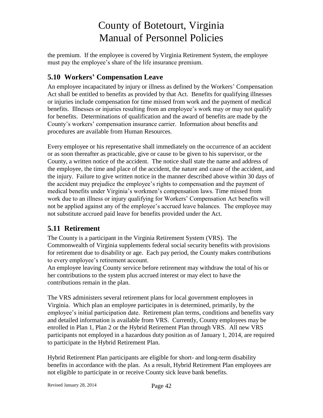the premium. If the employee is covered by Virginia Retirement System, the employee must pay the employee's share of the life insurance premium.

## <span id="page-45-0"></span>**5.10 Workers' Compensation Leave**

An employee incapacitated by injury or illness as defined by the Workers' Compensation Act shall be entitled to benefits as provided by that Act. Benefits for qualifying illnesses or injuries include compensation for time missed from work and the payment of medical benefits. Illnesses or injuries resulting from an employee's work may or may not qualify for benefits. Determinations of qualification and the award of benefits are made by the County's workers' compensation insurance carrier. Information about benefits and procedures are available from Human Resources.

Every employee or his representative shall immediately on the occurrence of an accident or as soon thereafter as practicable, give or cause to be given to his supervisor, or the County, a written notice of the accident. The notice shall state the name and address of the employee, the time and place of the accident, the nature and cause of the accident, and the injury. Failure to give written notice in the manner described above within 30 days of the accident may prejudice the employee's rights to compensation and the payment of medical benefits under Virginia's workmen's compensation laws. Time missed from work due to an illness or injury qualifying for Workers' Compensation Act benefits will not be applied against any of the employee's accrued leave balances. The employee may not substitute accrued paid leave for benefits provided under the Act.

### <span id="page-45-1"></span>**5.11 Retirement**

The County is a participant in the Virginia Retirement System (VRS). The Commonwealth of Virginia supplements federal social security benefits with provisions for retirement due to disability or age. Each pay period, the County makes contributions to every employee's retirement account.

An employee leaving County service before retirement may withdraw the total of his or her contributions to the system plus accrued interest or may elect to have the contributions remain in the plan.

The VRS administers several retirement plans for local government employees in Virginia. Which plan an employee participates in is determined, primarily, by the employee's initial participation date. Retirement plan terms, conditions and benefits vary and detailed information is available from VRS. Currently, County employees may be enrolled in Plan 1, Plan 2 or the Hybrid Retirement Plan through VRS. All new VRS participants not employed in a hazardous duty position as of January 1, 2014, are required to participate in the Hybrid Retirement Plan.

Hybrid Retirement Plan participants are eligible for short- and long-term disability benefits in accordance with the plan. As a result, Hybrid Retirement Plan employees are not eligible to participate in or receive County sick leave bank benefits.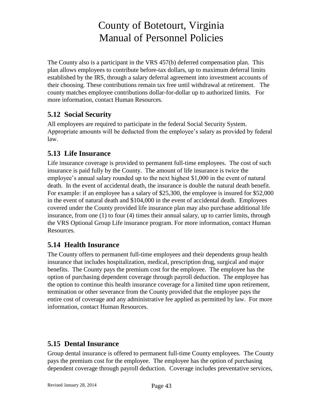The County also is a participant in the VRS 457(b) deferred compensation plan. This plan allows employees to contribute before-tax dollars, up to maximum deferral limits established by the IRS, through a salary deferral agreement into investment accounts of their choosing. These contributions remain tax free until withdrawal at retirement. The county matches employee contributions dollar-for-dollar up to authorized limits. For more information, contact Human Resources.

## <span id="page-46-0"></span>**5.12 Social Security**

All employees are required to participate in the federal Social Security System. Appropriate amounts will be deducted from the employee's salary as provided by federal law.

## <span id="page-46-1"></span>**5.13 Life Insurance**

Life insurance coverage is provided to permanent full-time employees. The cost of such insurance is paid fully by the County. The amount of life insurance is twice the employee's annual salary rounded up to the next highest \$1,000 in the event of natural death. In the event of accidental death, the insurance is double the natural death benefit. For example: if an employee has a salary of \$25,300, the employee is insured for \$52,000 in the event of natural death and \$104,000 in the event of accidental death. Employees covered under the County provided life insurance plan may also purchase additional life insurance, from one (1) to four (4) times their annual salary, up to carrier limits, through the VRS Optional Group Life insurance program. For more information, contact Human Resources.

## <span id="page-46-2"></span>**5.14 Health Insurance**

The County offers to permanent full-time employees and their dependents group health insurance that includes hospitalization, medical, prescription drug, surgical and major benefits. The County pays the premium cost for the employee. The employee has the option of purchasing dependent coverage through payroll deduction. The employee has the option to continue this health insurance coverage for a limited time upon retirement, termination or other severance from the County provided that the employee pays the entire cost of coverage and any administrative fee applied as permitted by law. For more information, contact Human Resources.

### <span id="page-46-3"></span>**5.15 Dental Insurance**

Group dental insurance is offered to permanent full-time County employees. The County pays the premium cost for the employee. The employee has the option of purchasing dependent coverage through payroll deduction. Coverage includes preventative services,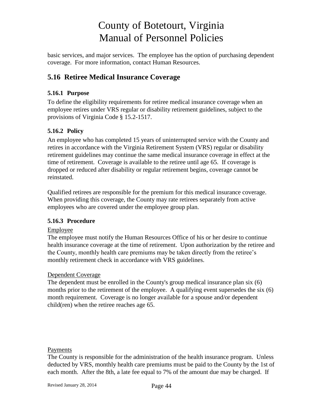basic services, and major services. The employee has the option of purchasing dependent coverage. For more information, contact Human Resources.

## <span id="page-47-0"></span>**5.16 Retiree Medical Insurance Coverage**

### <span id="page-47-1"></span>**5.16.1 Purpose**

To define the eligibility requirements for retiree medical insurance coverage when an employee retires under VRS regular or disability retirement guidelines, subject to the provisions of Virginia Code § 15.2-1517.

### <span id="page-47-2"></span>**5.16.2 Policy**

An employee who has completed 15 years of uninterrupted service with the County and retires in accordance with the Virginia Retirement System (VRS) regular or disability retirement guidelines may continue the same medical insurance coverage in effect at the time of retirement. Coverage is available to the retiree until age 65. If coverage is dropped or reduced after disability or regular retirement begins, coverage cannot be reinstated.

Qualified retirees are responsible for the premium for this medical insurance coverage. When providing this coverage, the County may rate retirees separately from active employees who are covered under the employee group plan.

### <span id="page-47-3"></span>**5.16.3 Procedure**

### Employee

The employee must notify the Human Resources Office of his or her desire to continue health insurance coverage at the time of retirement. Upon authorization by the retiree and the County, monthly health care premiums may be taken directly from the retiree's monthly retirement check in accordance with VRS guidelines.

### Dependent Coverage

The dependent must be enrolled in the County's group medical insurance plan six (6) months prior to the retirement of the employee. A qualifying event supersedes the six (6) month requirement. Coverage is no longer available for a spouse and/or dependent child(ren) when the retiree reaches age 65.

#### Payments

The County is responsible for the administration of the health insurance program. Unless deducted by VRS, monthly health care premiums must be paid to the County by the 1st of each month. After the 8th, a late fee equal to 7% of the amount due may be charged. If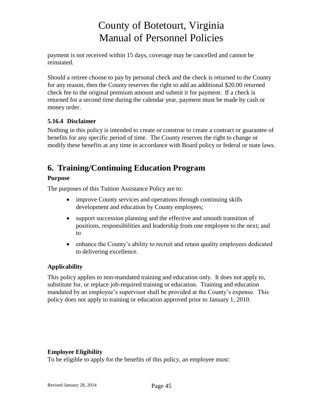payment is not received within 15 days, coverage may be cancelled and cannot be reinstated.

Should a retiree choose to pay by personal check and the check is returned to the County for any reason, then the County reserves the right to add an additional \$20.00 returned check fee to the original premium amount and submit it for payment. If a check is returned for a second time during the calendar year, payment must be made by cash or money order.

### <span id="page-48-0"></span>**5.16.4 Disclaimer**

Nothing in this policy is intended to create or construe to create a contract or guarantee of benefits for any specific period of time. The County reserves the right to change or modify these benefits at any time in accordance with Board policy or federal or state laws.

# <span id="page-48-1"></span>**6. Training/Continuing Education Program**

### **Purpose**

The purposes of this Tuition Assistance Policy are to:

- improve County services and operations through continuing skills development and education by County employees;
- support succession planning and the effective and smooth transition of positions, responsibilities and leadership from one employee to the next; and to
- enhance the County's ability to recruit and retain quality employees dedicated to delivering excellence.

### **Applicability**

This policy applies to non-mandated training and education only. It does not apply to, substitute for, or replace job-required training or education. Training and education mandated by an employee's supervisor shall be provided at the County's expense. This policy does not apply to training or education approved prior to January 1, 2010.

### **Employee Eligibility**

To be eligible to apply for the benefits of this policy, an employee must: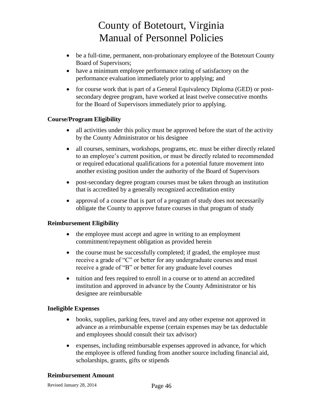- be a full-time, permanent, non-probationary employee of the Botetourt County Board of Supervisors;
- have a minimum employee performance rating of satisfactory on the performance evaluation immediately prior to applying; and
- for course work that is part of a General Equivalency Diploma (GED) or postsecondary degree program, have worked at least twelve consecutive months for the Board of Supervisors immediately prior to applying.

#### **Course/Program Eligibility**

- all activities under this policy must be approved before the start of the activity by the County Administrator or his designee
- all courses, seminars, workshops, programs, etc. must be either directly related to an employee's current position, or must be directly related to recommended or required educational qualifications for a potential future movement into another existing position under the authority of the Board of Supervisors
- post-secondary degree program courses must be taken through an institution that is accredited by a generally recognized accreditation entity
- approval of a course that is part of a program of study does not necessarily obligate the County to approve future courses in that program of study

#### **Reimbursement Eligibility**

- the employee must accept and agree in writing to an employment commitment/repayment obligation as provided herein
- the course must be successfully completed; if graded, the employee must receive a grade of "C" or better for any undergraduate courses and must receive a grade of "B" or better for any graduate level courses
- tuition and fees required to enroll in a course or to attend an accredited institution and approved in advance by the County Administrator or his designee are reimbursable

#### **Ineligible Expenses**

- books, supplies, parking fees, travel and any other expense not approved in advance as a reimbursable expense (certain expenses may be tax deductable and employees should consult their tax advisor)
- expenses, including reimbursable expenses approved in advance, for which the employee is offered funding from another source including financial aid, scholarships, grants, gifts or stipends

#### **Reimbursement Amount**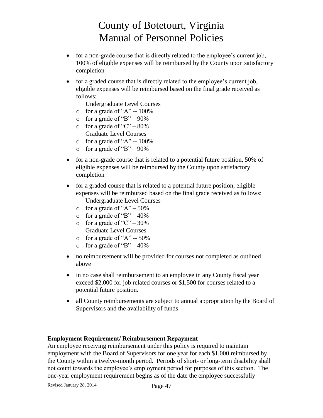- for a non-grade course that is directly related to the employee's current job, 100% of eligible expenses will be reimbursed by the County upon satisfactory completion
- for a graded course that is directly related to the employee's current job, eligible expenses will be reimbursed based on the final grade received as follows:
	- Undergraduate Level Courses
	- o for a grade of "A" -- 100%
	- o for a grade of "B"  $90\%$
	- o for a grade of "C"  $80\%$ Graduate Level Courses
	- $\circ$  for a grade of "A" -- 100%
	- o for a grade of "B"  $90\%$
- for a non-grade course that is related to a potential future position, 50% of eligible expenses will be reimbursed by the County upon satisfactory completion
- for a graded course that is related to a potential future position, eligible expenses will be reimbursed based on the final grade received as follows: Undergraduate Level Courses
	- o for a grade of " $A$ " 50%
	- o for a grade of "B"  $-40\%$
	- o for a grade of "C" 30% Graduate Level Courses
	- $\circ$  for a grade of "A" -- 50%
	- $\circ$  for a grade of "B" 40%
- no reimbursement will be provided for courses not completed as outlined above
- in no case shall reimbursement to an employee in any County fiscal year exceed \$2,000 for job related courses or \$1,500 for courses related to a potential future position.
- all County reimbursements are subject to annual appropriation by the Board of Supervisors and the availability of funds

#### **Employment Requirement/ Reimbursement Repayment**

An employee receiving reimbursement under this policy is required to maintain employment with the Board of Supervisors for one year for each \$1,000 reimbursed by the County within a twelve-month period. Periods of short- or long-term disability shall not count towards the employee's employment period for purposes of this section. The one-year employment requirement begins as of the date the employee successfully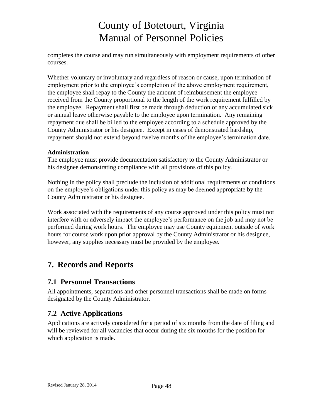completes the course and may run simultaneously with employment requirements of other courses.

Whether voluntary or involuntary and regardless of reason or cause, upon termination of employment prior to the employee's completion of the above employment requirement, the employee shall repay to the County the amount of reimbursement the employee received from the County proportional to the length of the work requirement fulfilled by the employee. Repayment shall first be made through deduction of any accumulated sick or annual leave otherwise payable to the employee upon termination. Any remaining repayment due shall be billed to the employee according to a schedule approved by the County Administrator or his designee. Except in cases of demonstrated hardship, repayment should not extend beyond twelve months of the employee's termination date.

#### **Administration**

The employee must provide documentation satisfactory to the County Administrator or his designee demonstrating compliance with all provisions of this policy.

Nothing in the policy shall preclude the inclusion of additional requirements or conditions on the employee's obligations under this policy as may be deemed appropriate by the County Administrator or his designee.

Work associated with the requirements of any course approved under this policy must not interfere with or adversely impact the employee's performance on the job and may not be performed during work hours. The employee may use County equipment outside of work hours for course work upon prior approval by the County Administrator or his designee, however, any supplies necessary must be provided by the employee.

## <span id="page-51-0"></span>**7. Records and Reports**

### <span id="page-51-1"></span>**7.1 Personnel Transactions**

All appointments, separations and other personnel transactions shall be made on forms designated by the County Administrator.

### <span id="page-51-2"></span>**7.2 Active Applications**

Applications are actively considered for a period of six months from the date of filing and will be reviewed for all vacancies that occur during the six months for the position for which application is made.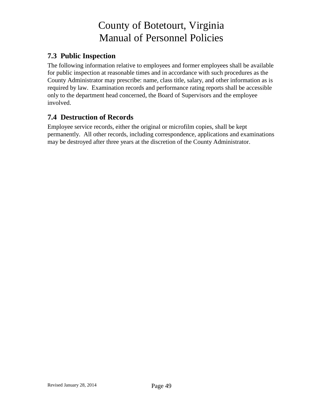## <span id="page-52-0"></span>**7.3 Public Inspection**

The following information relative to employees and former employees shall be available for public inspection at reasonable times and in accordance with such procedures as the County Administrator may prescribe: name, class title, salary, and other information as is required by law. Examination records and performance rating reports shall be accessible only to the department head concerned, the Board of Supervisors and the employee involved.

## <span id="page-52-1"></span>**7.4 Destruction of Records**

Employee service records, either the original or microfilm copies, shall be kept permanently. All other records, including correspondence, applications and examinations may be destroyed after three years at the discretion of the County Administrator.